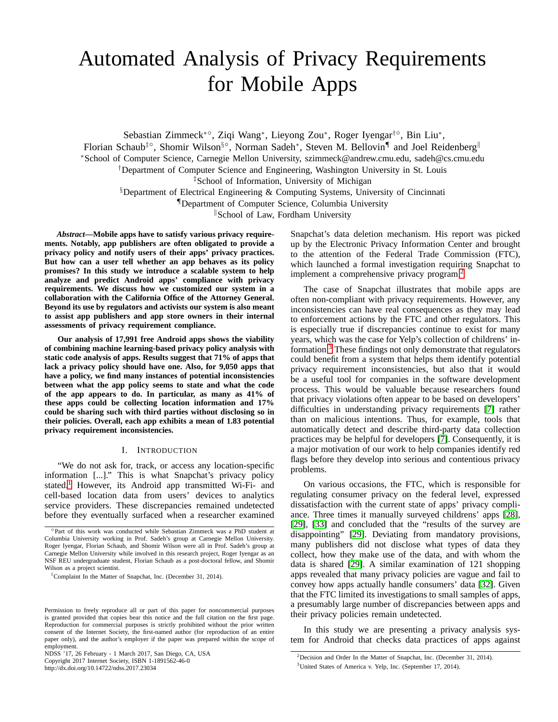# Automated Analysis of Privacy Requirements for Mobile Apps

Sebastian Zimmeck<sup>∗</sup>◦ , Ziqi Wang<sup>∗</sup> , Lieyong Zou<sup>∗</sup> , Roger Iyengar†◦ , Bin Liu<sup>∗</sup> , Florian Schaub<sup>‡</sup>°, Shomir Wilson<sup>§</sup>°, Norman Sadeh<sup>∗</sup>, Steven M. Bellovin<sup>¶</sup> and Joel Reidenberg<sup>||</sup> <sup>∗</sup>School of Computer Science, Carnegie Mellon University, szimmeck@andrew.cmu.edu, sadeh@cs.cmu.edu †Department of Computer Science and Engineering, Washington University in St. Louis ‡School of Information, University of Michigan §Department of Electrical Engineering & Computing Systems, University of Cincinnati

¶Department of Computer Science, Columbia University

School of Law, Fordham University

*Abstract***—Mobile apps have to satisfy various privacy requirements. Notably, app publishers are often obligated to provide a privacy policy and notify users of their apps' privacy practices. But how can a user tell whether an app behaves as its policy promises? In this study we introduce a scalable system to help analyze and predict Android apps' compliance with privacy requirements. We discuss how we customized our system in a collaboration with the California Office of the Attorney General. Beyond its use by regulators and activists our system is also meant to assist app publishers and app store owners in their internal assessments of privacy requirement compliance.**

**Our analysis of 17,991 free Android apps shows the viability of combining machine learning-based privacy policy analysis with static code analysis of apps. Results suggest that 71% of apps that lack a privacy policy should have one. Also, for 9,050 apps that have a policy, we find many instances of potential inconsistencies between what the app policy seems to state and what the code of the app appears to do. In particular, as many as 41% of these apps could be collecting location information and 17% could be sharing such with third parties without disclosing so in their policies. Overall, each app exhibits a mean of 1.83 potential privacy requirement inconsistencies.**

# I. INTRODUCTION

<span id="page-0-3"></span>"We do not ask for, track, or access any location-specific information [...]." This is what Snapchat's privacy policy stated.<sup>[1](#page-0-0)</sup> However, its Android app transmitted Wi-Fi- and cell-based location data from users' devices to analytics service providers. These discrepancies remained undetected before they eventually surfaced when a researcher examined

Copyright 2017 Internet Society, ISBN 1-1891562-46-0

http://dx.doi.org/10.14722/ndss.2017.23034

Snapchat's data deletion mechanism. His report was picked up by the Electronic Privacy Information Center and brought to the attention of the Federal Trade Commission (FTC), which launched a formal investigation requiring Snapchat to implement a comprehensive privacy program.<sup>[2](#page-0-1)</sup>

The case of Snapchat illustrates that mobile apps are often non-compliant with privacy requirements. However, any inconsistencies can have real consequences as they may lead to enforcement actions by the FTC and other regulators. This is especially true if discrepancies continue to exist for many years, which was the case for Yelp's collection of childrens' information.[3](#page-0-2) These findings not only demonstrate that regulators could benefit from a system that helps them identify potential privacy requirement inconsistencies, but also that it would be a useful tool for companies in the software development process. This would be valuable because researchers found that privacy violations often appear to be based on developers' difficulties in understanding privacy requirements [\[7\]](#page-13-0) rather than on malicious intentions. Thus, for example, tools that automatically detect and describe third-party data collection practices may be helpful for developers [\[7\]](#page-13-0). Consequently, it is a major motivation of our work to help companies identify red flags before they develop into serious and contentious privacy problems.

On various occasions, the FTC, which is responsible for regulating consumer privacy on the federal level, expressed dissatisfaction with the current state of apps' privacy compliance. Three times it manually surveyed childrens' apps [\[28\]](#page-13-1), [\[29\]](#page-13-2), [\[33\]](#page-13-3) and concluded that the "results of the survey are disappointing" [\[29\]](#page-13-2). Deviating from mandatory provisions, many publishers did not disclose what types of data they collect, how they make use of the data, and with whom the data is shared [\[29\]](#page-13-2). A similar examination of 121 shopping apps revealed that many privacy policies are vague and fail to convey how apps actually handle consumers' data [\[32\]](#page-13-4). Given that the FTC limited its investigations to small samples of apps, a presumably large number of discrepancies between apps and their privacy policies remain undetected.

In this study we are presenting a privacy analysis system for Android that checks data practices of apps against

<sup>◦</sup> Part of this work was conducted while Sebastian Zimmeck was a PhD student at Columbia University working in Prof. Sadeh's group at Carnegie Mellon University. Roger Iyengar, Florian Schaub, and Shomir Wilson were all in Prof. Sadeh's group at Carnegie Mellon University while involved in this research project, Roger Iyengar as an NSF REU undergraduate student, Florian Schaub as a post-doctoral fellow, and Shomir Wilson as a project scientist.

<span id="page-0-0"></span><sup>&</sup>lt;sup>1</sup>Complaint In the Matter of Snapchat, Inc. (December 31, 2014).

Permission to freely reproduce all or part of this paper for noncommercial purposes is granted provided that copies bear this notice and the full citation on the first page. Reproduction for commercial purposes is strictly prohibited without the prior written consent of the Internet Society, the first-named author (for reproduction of an entire paper only), and the author's employer if the paper was prepared within the scope of employment.

NDSS '17, 26 February - 1 March 2017, San Diego, CA, USA

<sup>2</sup>Decision and Order In the Matter of Snapchat, Inc. (December 31, 2014).

<span id="page-0-2"></span><span id="page-0-1"></span><sup>3</sup>United States of America v. Yelp, Inc. (September 17, 2014).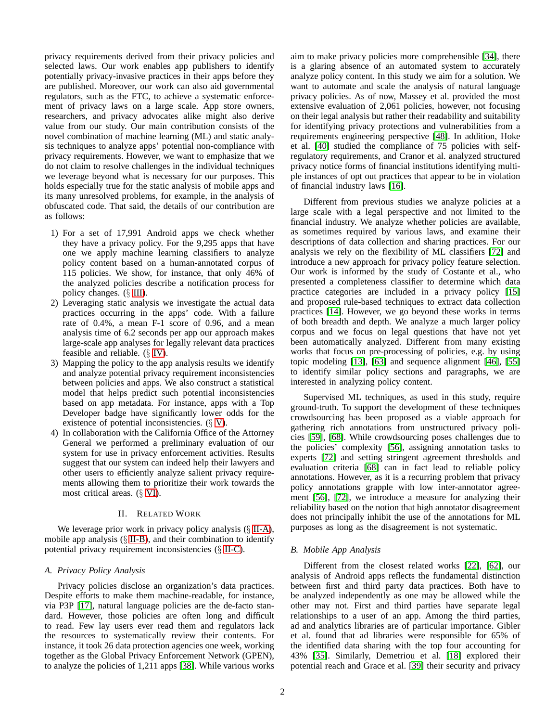privacy requirements derived from their privacy policies and selected laws. Our work enables app publishers to identify potentially privacy-invasive practices in their apps before they are published. Moreover, our work can also aid governmental regulators, such as the FTC, to achieve a systematic enforcement of privacy laws on a large scale. App store owners, researchers, and privacy advocates alike might also derive value from our study. Our main contribution consists of the novel combination of machine learning (ML) and static analysis techniques to analyze apps' potential non-compliance with privacy requirements. However, we want to emphasize that we do not claim to resolve challenges in the individual techniques we leverage beyond what is necessary for our purposes. This holds especially true for the static analysis of mobile apps and its many unresolved problems, for example, in the analysis of obfuscated code. That said, the details of our contribution are as follows:

- 1) For a set of 17,991 Android apps we check whether they have a privacy policy. For the 9,295 apps that have one we apply machine learning classifiers to analyze policy content based on a human-annotated corpus of 115 policies. We show, for instance, that only 46% of the analyzed policies describe a notification process for policy changes. (§ [III\)](#page-2-0).
- 2) Leveraging static analysis we investigate the actual data practices occurring in the apps' code. With a failure rate of 0.4%, a mean F-1 score of 0.96, and a mean analysis time of 6.2 seconds per app our approach makes large-scale app analyses for legally relevant data practices feasible and reliable. (§ [IV\)](#page-7-0).
- 3) Mapping the policy to the app analysis results we identify and analyze potential privacy requirement inconsistencies between policies and apps. We also construct a statistical model that helps predict such potential inconsistencies based on app metadata. For instance, apps with a Top Developer badge have significantly lower odds for the existence of potential inconsistencies.  $(\S V)$  $(\S V)$ .
- 4) In collaboration with the California Office of the Attorney General we performed a preliminary evaluation of our system for use in privacy enforcement activities. Results suggest that our system can indeed help their lawyers and other users to efficiently analyze salient privacy requirements allowing them to prioritize their work towards the most critical areas. (§ [VI\)](#page-11-0).

# II. RELATED WORK

We leverage prior work in privacy policy analysis ( $\S$  [II-A\)](#page-1-0), mobile app analysis  $(\S$  [II-B\)](#page-1-1), and their combination to identify potential privacy requirement inconsistencies (§ [II-C\)](#page-2-1).

## <span id="page-1-0"></span>*A. Privacy Policy Analysis*

Privacy policies disclose an organization's data practices. Despite efforts to make them machine-readable, for instance, via P3P [\[17\]](#page-13-5), natural language policies are the de-facto standard. However, those policies are often long and difficult to read. Few lay users ever read them and regulators lack the resources to systematically review their contents. For instance, it took 26 data protection agencies one week, working together as the Global Privacy Enforcement Network (GPEN), to analyze the policies of 1,211 apps [\[38\]](#page-14-0). While various works aim to make privacy policies more comprehensible [\[34\]](#page-14-1), there is a glaring absence of an automated system to accurately analyze policy content. In this study we aim for a solution. We want to automate and scale the analysis of natural language privacy policies. As of now, Massey et al. provided the most extensive evaluation of 2,061 policies, however, not focusing on their legal analysis but rather their readability and suitability for identifying privacy protections and vulnerabilities from a requirements engineering perspective [\[48\]](#page-14-2). In addition, Hoke et al. [\[40\]](#page-14-3) studied the compliance of 75 policies with selfregulatory requirements, and Cranor et al. analyzed structured privacy notice forms of financial institutions identifying multiple instances of opt out practices that appear to be in violation of financial industry laws [\[16\]](#page-13-6).

Different from previous studies we analyze policies at a large scale with a legal perspective and not limited to the financial industry. We analyze whether policies are available, as sometimes required by various laws, and examine their descriptions of data collection and sharing practices. For our analysis we rely on the flexibility of ML classifiers [\[72\]](#page-14-4) and introduce a new approach for privacy policy feature selection. Our work is informed by the study of Costante et al., who presented a completeness classifier to determine which data practice categories are included in a privacy policy [\[15\]](#page-13-7) and proposed rule-based techniques to extract data collection practices [\[14\]](#page-13-8). However, we go beyond these works in terms of both breadth and depth. We analyze a much larger policy corpus and we focus on legal questions that have not yet been automatically analyzed. Different from many existing works that focus on pre-processing of policies, e.g. by using topic modeling [\[13\]](#page-13-9), [\[63\]](#page-14-5) and sequence alignment [\[46\]](#page-14-6), [\[55\]](#page-14-7) to identify similar policy sections and paragraphs, we are interested in analyzing policy content.

Supervised ML techniques, as used in this study, require ground-truth. To support the development of these techniques crowdsourcing has been proposed as a viable approach for gathering rich annotations from unstructured privacy policies [\[59\]](#page-14-8), [\[68\]](#page-14-9). While crowdsourcing poses challenges due to the policies' complexity [\[56\]](#page-14-10), assigning annotation tasks to experts [\[72\]](#page-14-4) and setting stringent agreement thresholds and evaluation criteria [\[68\]](#page-14-9) can in fact lead to reliable policy annotations. However, as it is a recurring problem that privacy policy annotations grapple with low inter-annotator agreement [\[56\]](#page-14-10), [\[72\]](#page-14-4), we introduce a measure for analyzing their reliability based on the notion that high annotator disagreement does not principally inhibit the use of the annotations for ML purposes as long as the disagreement is not systematic.

## <span id="page-1-1"></span>*B. Mobile App Analysis*

Different from the closest related works [\[22\]](#page-13-10), [\[62\]](#page-14-11), our analysis of Android apps reflects the fundamental distinction between first and third party data practices. Both have to be analyzed independently as one may be allowed while the other may not. First and third parties have separate legal relationships to a user of an app. Among the third parties, ad and analytics libraries are of particular importance. Gibler et al. found that ad libraries were responsible for 65% of the identified data sharing with the top four accounting for 43% [\[35\]](#page-14-12). Similarly, Demetriou et al. [\[18\]](#page-13-11) explored their potential reach and Grace et al. [\[39\]](#page-14-13) their security and privacy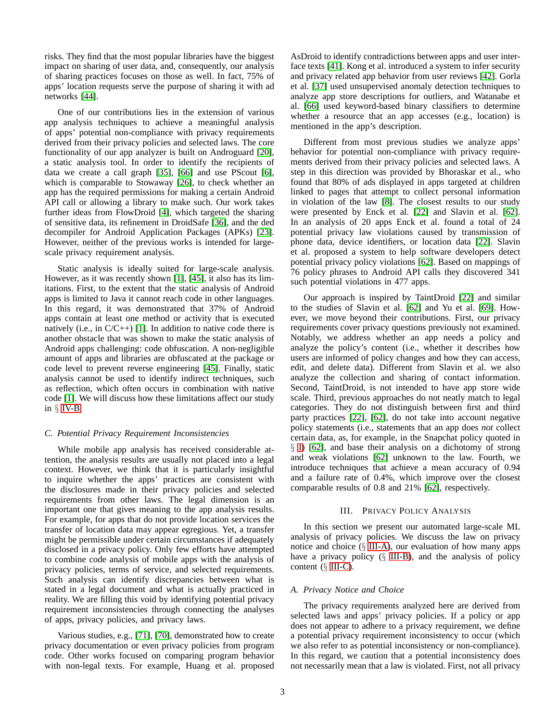risks. They find that the most popular libraries have the biggest impact on sharing of user data, and, consequently, our analysis of sharing practices focuses on those as well. In fact, 75% of apps' location requests serve the purpose of sharing it with ad networks [\[44\]](#page-14-14).

One of our contributions lies in the extension of various app analysis techniques to achieve a meaningful analysis of apps' potential non-compliance with privacy requirements derived from their privacy policies and selected laws. The core functionality of our app analyzer is built on Androguard [\[20\]](#page-13-12), a static analysis tool. In order to identify the recipients of data we create a call graph [\[35\]](#page-14-12), [\[66\]](#page-14-15) and use PScout [\[6\]](#page-13-13), which is comparable to Stowaway [\[26\]](#page-13-14), to check whether an app has the required permissions for making a certain Android API call or allowing a library to make such. Our work takes further ideas from FlowDroid [\[4\]](#page-13-15), which targeted the sharing of sensitive data, its refinement in DroidSafe [\[36\]](#page-14-16), and the ded decompiler for Android Application Packages (APKs) [\[23\]](#page-13-16). However, neither of the previous works is intended for largescale privacy requirement analysis.

Static analysis is ideally suited for large-scale analysis. However, as it was recently shown [\[1\]](#page-13-17), [\[45\]](#page-14-17), it also has its limitations. First, to the extent that the static analysis of Android apps is limited to Java it cannot reach code in other languages. In this regard, it was demonstrated that 37% of Android apps contain at least one method or activity that is executed natively (i.e., in  $C/C_{++}$ ) [\[1\]](#page-13-17). In addition to native code there is another obstacle that was shown to make the static analysis of Android apps challenging: code obfuscation. A non-negligible amount of apps and libraries are obfuscated at the package or code level to prevent reverse engineering [\[45\]](#page-14-17). Finally, static analysis cannot be used to identify indirect techniques, such as reflection, which often occurs in combination with native code [\[1\]](#page-13-17). We will discuss how these limitations affect our study in  $\S$  [IV-B.](#page-8-0)

# <span id="page-2-1"></span>*C. Potential Privacy Requirement Inconsistencies*

While mobile app analysis has received considerable attention, the analysis results are usually not placed into a legal context. However, we think that it is particularly insightful to inquire whether the apps' practices are consistent with the disclosures made in their privacy policies and selected requirements from other laws. The legal dimension is an important one that gives meaning to the app analysis results. For example, for apps that do not provide location services the transfer of location data may appear egregious. Yet, a transfer might be permissible under certain circumstances if adequately disclosed in a privacy policy. Only few efforts have attempted to combine code analysis of mobile apps with the analysis of privacy policies, terms of service, and selected requirements. Such analysis can identify discrepancies between what is stated in a legal document and what is actually practiced in reality. We are filling this void by identifying potential privacy requirement inconsistencies through connecting the analyses of apps, privacy policies, and privacy laws.

Various studies, e.g., [\[71\]](#page-14-18), [\[70\]](#page-14-19), demonstrated how to create privacy documentation or even privacy policies from program code. Other works focused on comparing program behavior with non-legal texts. For example, Huang et al. proposed AsDroid to identify contradictions between apps and user interface texts [\[41\]](#page-14-20). Kong et al. introduced a system to infer security and privacy related app behavior from user reviews [\[42\]](#page-14-21). Gorla et al. [\[37\]](#page-14-22) used unsupervised anomaly detection techniques to analyze app store descriptions for outliers, and Watanabe et al. [\[66\]](#page-14-15) used keyword-based binary classifiers to determine whether a resource that an app accesses (e.g., location) is mentioned in the app's description.

Different from most previous studies we analyze apps' behavior for potential non-compliance with privacy requirements derived from their privacy policies and selected laws. A step in this direction was provided by Bhoraskar et al., who found that 80% of ads displayed in apps targeted at children linked to pages that attempt to collect personal information in violation of the law [\[8\]](#page-13-18). The closest results to our study were presented by Enck et al. [\[22\]](#page-13-10) and Slavin et al. [\[62\]](#page-14-11). In an analysis of 20 apps Enck et al. found a total of 24 potential privacy law violations caused by transmission of phone data, device identifiers, or location data [\[22\]](#page-13-10). Slavin et al. proposed a system to help software developers detect potential privacy policy violations [\[62\]](#page-14-11). Based on mappings of 76 policy phrases to Android API calls they discovered 341 such potential violations in 477 apps.

Our approach is inspired by TaintDroid [\[22\]](#page-13-10) and similar to the studies of Slavin et al. [\[62\]](#page-14-11) and Yu et al. [\[69\]](#page-14-23). However, we move beyond their contributions. First, our privacy requirements cover privacy questions previously not examined. Notably, we address whether an app needs a policy and analyze the policy's content (i.e., whether it describes how users are informed of policy changes and how they can access, edit, and delete data). Different from Slavin et al. we also analyze the collection and sharing of contact information. Second, TaintDroid, is not intended to have app store wide scale. Third, previous approaches do not neatly match to legal categories. They do not distinguish between first and third party practices [\[22\]](#page-13-10), [\[62\]](#page-14-11), do not take into account negative policy statements (i.e., statements that an app does *not* collect certain data, as, for example, in the Snapchat policy quoted in § [I\)](#page-0-3) [\[62\]](#page-14-11), and base their analysis on a dichotomy of strong and weak violations [\[62\]](#page-14-11) unknown to the law. Fourth, we introduce techniques that achieve a mean accuracy of 0.94 and a failure rate of 0.4%, which improve over the closest comparable results of 0.8 and 21% [\[62\]](#page-14-11), respectively.

#### III. PRIVACY POLICY ANALYSIS

<span id="page-2-0"></span>In this section we present our automated large-scale ML analysis of privacy policies. We discuss the law on privacy notice and choice  $(\S$  [III-A\)](#page-2-2), our evaluation of how many apps have a privacy policy (§ [III-B\)](#page-3-0), and the analysis of policy content  $(\S$  [III-C\)](#page-5-0).

#### <span id="page-2-2"></span>*A. Privacy Notice and Choice*

The privacy requirements analyzed here are derived from selected laws and apps' privacy policies. If a policy or app does not appear to adhere to a privacy requirement, we define a potential privacy requirement inconsistency to occur (which we also refer to as potential inconsistency or non-compliance). In this regard, we caution that a potential inconsistency does not necessarily mean that a law is violated. First, not all privacy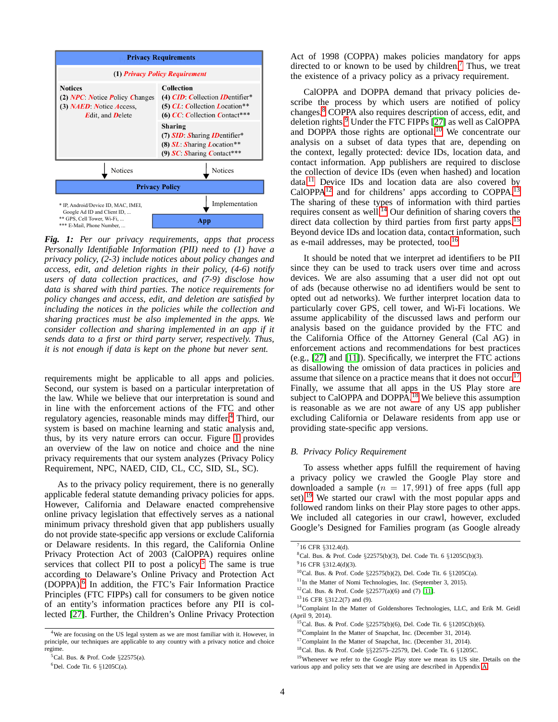<span id="page-3-2"></span>

*Fig. 1: Per our privacy requirements, apps that process Personally Identifiable Information (PII) need to (1) have a privacy policy, (2-3) include notices about policy changes and access, edit, and deletion rights in their policy, (4-6) notify users of data collection practices, and (7-9) disclose how data is shared with third parties. The notice requirements for policy changes and access, edit, and deletion are satisfied by including the notices in the policies while the collection and sharing practices must be also implemented in the apps. We consider collection and sharing implemented in an app if it sends data to a first or third party server, respectively. Thus, it is not enough if data is kept on the phone but never sent.*

requirements might be applicable to all apps and policies. Second, our system is based on a particular interpretation of the law. While we believe that our interpretation is sound and in line with the enforcement actions of the FTC and other regulatory agencies, reasonable minds may differ.[4](#page-3-1) Third, our system is based on machine learning and static analysis and, thus, by its very nature errors can occur. Figure [1](#page-3-2) provides an overview of the law on notice and choice and the nine privacy requirements that our system analyzes (Privacy Policy Requirement, NPC, NAED, CID, CL, CC, SID, SL, SC).

As to the privacy policy requirement, there is no generally applicable federal statute demanding privacy policies for apps. However, California and Delaware enacted comprehensive online privacy legislation that effectively serves as a national minimum privacy threshold given that app publishers usually do not provide state-specific app versions or exclude California or Delaware residents. In this regard, the California Online Privacy Protection Act of 2003 (CalOPPA) requires online services that collect PII to post a policy.<sup>[5](#page-3-3)</sup> The same is true according to Delaware's Online Privacy and Protection Act (DOPPA).[6](#page-3-4) In addition, the FTC's Fair Information Practice Principles (FTC FIPPs) call for consumers to be given notice of an entity's information practices before any PII is collected [\[27\]](#page-13-19). Further, the Children's Online Privacy Protection Act of 1998 (COPPA) makes policies mandatory for apps directed to or known to be used by children.<sup>[7](#page-3-5)</sup> Thus, we treat the existence of a privacy policy as a privacy requirement.

CalOPPA and DOPPA demand that privacy policies describe the process by which users are notified of policy changes.[8](#page-3-6) COPPA also requires description of access, edit, and deletion rights.[9](#page-3-7) Under the FTC FIPPs [\[27\]](#page-13-19) as well as CalOPPA and DOPPA those rights are optional.<sup>[10](#page-3-8)</sup> We concentrate our analysis on a subset of data types that are, depending on the context, legally protected: device IDs, location data, and contact information. App publishers are required to disclose the collection of device IDs (even when hashed) and location data.[11](#page-3-9) Device IDs and location data are also covered by  $CalOPPA<sup>12</sup>$  $CalOPPA<sup>12</sup>$  $CalOPPA<sup>12</sup>$  and for childrens' apps according to COPPA.<sup>[13](#page-3-11)</sup> The sharing of these types of information with third parties requires consent as well.<sup>[14](#page-3-12)</sup> Our definition of sharing covers the direct data collection by third parties from first party apps.<sup>[15](#page-3-13)</sup> Beyond device IDs and location data, contact information, such as e-mail addresses, may be protected, too. $16$ 

It should be noted that we interpret ad identifiers to be PII since they can be used to track users over time and across devices. We are also assuming that a user did not opt out of ads (because otherwise no ad identifiers would be sent to opted out ad networks). We further interpret location data to particularly cover GPS, cell tower, and Wi-Fi locations. We assume applicability of the discussed laws and perform our analysis based on the guidance provided by the FTC and the California Office of the Attorney General (Cal AG) in enforcement actions and recommendations for best practices (e.g., [\[27\]](#page-13-19) and [\[11\]](#page-13-20)). Specifically, we interpret the FTC actions as disallowing the omission of data practices in policies and assume that silence on a practice means that it does not occur.<sup>[17](#page-3-15)</sup> Finally, we assume that all apps in the US Play store are subject to CalOPPA and DOPPA.<sup>[18](#page-3-16)</sup> We believe this assumption is reasonable as we are not aware of any US app publisher excluding California or Delaware residents from app use or providing state-specific app versions.

# <span id="page-3-0"></span>*B. Privacy Policy Requirement*

To assess whether apps fulfill the requirement of having a privacy policy we crawled the Google Play store and downloaded a sample  $(n = 17, 991)$  of free apps (full app set).<sup>[19](#page-3-17)</sup> We started our crawl with the most popular apps and followed random links on their Play store pages to other apps. We included all categories in our crawl, however, excluded Google's Designed for Families program (as Google already

<span id="page-3-1"></span><sup>4</sup>We are focusing on the US legal system as we are most familiar with it. However, in principle, our techniques are applicable to any country with a privacy notice and choice regime.

 ${}^5$ Cal. Bus. & Prof. Code §22575(a).

<span id="page-3-4"></span><span id="page-3-3"></span> $6$ Del. Code Tit. 6 §1205C(a).

 $716$  CFR §312.4(d).

<span id="page-3-5"></span><sup>&</sup>lt;sup>8</sup>Cal. Bus. & Prof. Code §22575(b)(3), Del. Code Tit. 6 §1205C(b)(3).

<span id="page-3-6"></span> $9$ 16 CFR §312.4(d)(3).

<span id="page-3-7"></span><sup>10</sup>Cal. Bus. & Prof. Code §22575(b)(2), Del. Code Tit. 6 §1205C(a).

<span id="page-3-8"></span><sup>&</sup>lt;sup>11</sup>In the Matter of Nomi Technologies, Inc. (September 3, 2015).

<span id="page-3-9"></span><sup>&</sup>lt;sup>12</sup>Cal. Bus. & Prof. Code  $\S 22577(a)(6)$  and (7) [\[11\]](#page-13-20). <sup>13</sup>16 CFR §312.2(7) and (9).

<span id="page-3-11"></span><span id="page-3-10"></span><sup>&</sup>lt;sup>14</sup>Complaint In the Matter of Goldenshores Technologies, LLC, and Erik M. Geidl

<sup>(</sup>April 9, 2014).

<span id="page-3-12"></span><sup>15</sup>Cal. Bus. & Prof. Code §22575(b)(6), Del. Code Tit. 6 §1205C(b)(6).

<span id="page-3-13"></span><sup>16</sup>Complaint In the Matter of Snapchat, Inc. (December 31, 2014).

<span id="page-3-14"></span><sup>&</sup>lt;sup>17</sup>Complaint In the Matter of Snapchat, Inc. (December 31, 2014).

<span id="page-3-16"></span><span id="page-3-15"></span><sup>18</sup>Cal. Bus. & Prof. Code §§22575–22579, Del. Code Tit. 6 §1205C.

<span id="page-3-17"></span><sup>&</sup>lt;sup>19</sup>Whenever we refer to the Google Play store we mean its US site. Details on the various app and policy sets that we are using are described in Appendix [A.](#page-14-24)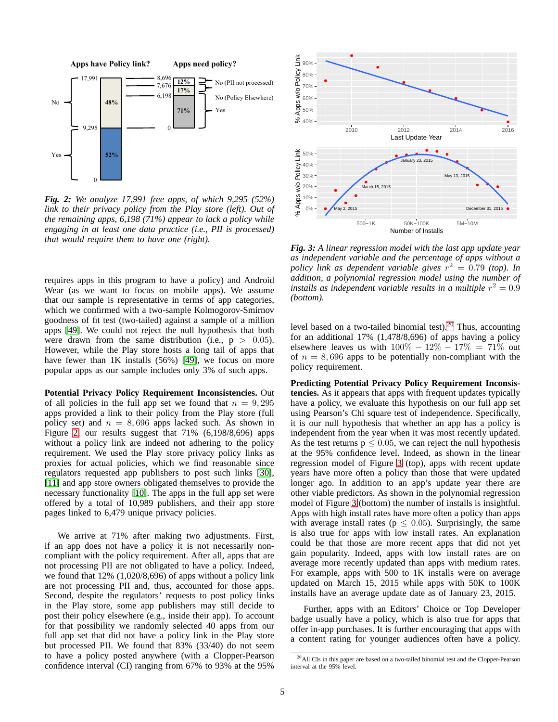<span id="page-4-0"></span>

*Fig. 2: We analyze 17,991 free apps, of which 9,295 (52%) link to their privacy policy from the Play store (left). Out of the remaining apps, 6,198 (71%) appear to lack a policy while engaging in at least one data practice (i.e., PII is processed) that would require them to have one (right).*

requires apps in this program to have a policy) and Android Wear (as we want to focus on mobile apps). We assume that our sample is representative in terms of app categories, which we confirmed with a two-sample Kolmogorov-Smirnov goodness of fit test (two-tailed) against a sample of a million apps [\[49\]](#page-14-25). We could not reject the null hypothesis that both were drawn from the same distribution (i.e.,  $p > 0.05$ ). However, while the Play store hosts a long tail of apps that have fewer than 1K installs (56%) [\[49\]](#page-14-25), we focus on more popular apps as our sample includes only 3% of such apps.

**Potential Privacy Policy Requirement Inconsistencies.** Out of all policies in the full app set we found that  $n = 9,295$ apps provided a link to their policy from the Play store (full policy set) and  $n = 8,696$  apps lacked such. As shown in Figure [2,](#page-4-0) our results suggest that 71% (6,198/8,696) apps without a policy link are indeed not adhering to the policy requirement. We used the Play store privacy policy links as proxies for actual policies, which we find reasonable since regulators requested app publishers to post such links [\[30\]](#page-13-21), [\[11\]](#page-13-20) and app store owners obligated themselves to provide the necessary functionality [\[10\]](#page-13-22). The apps in the full app set were offered by a total of 10,989 publishers, and their app store pages linked to 6,479 unique privacy policies.

We arrive at 71% after making two adjustments. First, if an app does not have a policy it is not necessarily noncompliant with the policy requirement. After all, apps that are not processing PII are not obligated to have a policy. Indeed, we found that 12% (1,020/8,696) of apps without a policy link are not processing PII and, thus, accounted for those apps. Second, despite the regulators' requests to post policy links in the Play store, some app publishers may still decide to post their policy elsewhere (e.g., inside their app). To account for that possibility we randomly selected 40 apps from our full app set that did not have a policy link in the Play store but processed PII. We found that 83% (33/40) do not seem to have a policy posted anywhere (with a Clopper-Pearson confidence interval (CI) ranging from 67% to 93% at the 95%

<span id="page-4-2"></span>

*Fig. 3: A linear regression model with the last app update year as independent variable and the percentage of apps without a policy link as dependent variable gives*  $r^2 = 0.79$  *(top). In addition, a polynomial regression model using the number of installs as independent variable results in a multiple*  $r^2 = 0.9$ *(bottom).*

level based on a two-tailed binomial test). $20$  Thus, accounting for an additional 17% (1,478/8,696) of apps having a policy elsewhere leaves us with  $100\% - 12\% - 17\% = 71\%$  out of  $n = 8,696$  apps to be potentially non-compliant with the policy requirement.

**Predicting Potential Privacy Policy Requirement Inconsistencies.** As it appears that apps with frequent updates typically have a policy, we evaluate this hypothesis on our full app set using Pearson's Chi square test of independence. Specifically, it is our null hypothesis that whether an app has a policy is independent from the year when it was most recently updated. As the test returns  $p \le 0.05$ , we can reject the null hypothesis at the 95% confidence level. Indeed, as shown in the linear regression model of Figure [3](#page-4-2) (top), apps with recent update years have more often a policy than those that were updated longer ago. In addition to an app's update year there are other viable predictors. As shown in the polynomial regression model of Figure [3](#page-4-2) (bottom) the number of installs is insightful. Apps with high install rates have more often a policy than apps with average install rates ( $p \leq 0.05$ ). Surprisingly, the same is also true for apps with low install rates. An explanation could be that those are more recent apps that did not yet gain popularity. Indeed, apps with low install rates are on average more recently updated than apps with medium rates. For example, apps with 500 to 1K installs were on average updated on March 15, 2015 while apps with 50K to 100K installs have an average update date as of January 23, 2015.

Further, apps with an Editors' Choice or Top Developer badge usually have a policy, which is also true for apps that offer in-app purchases. It is further encouraging that apps with a content rating for younger audiences often have a policy.

<span id="page-4-1"></span><sup>20</sup>All CIs in this paper are based on a two-tailed binomial test and the Clopper-Pearson interval at the 95% level.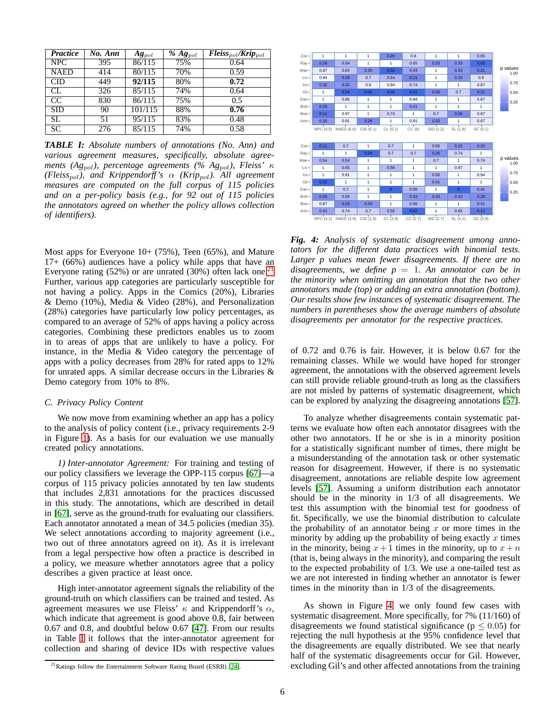<span id="page-5-2"></span>

| <b>Practice</b> | No. Ann | $Ag_{pol}$ | $%$ $Ag_{pol}$ | $Fleiss_{pol}/Krip_{pol}$ |
|-----------------|---------|------------|----------------|---------------------------|
| NPC.            | 395     | 86/115     | 75%            | 0.64                      |
| <b>NAED</b>     | 414     | 80/115     | 70%            | 0.59                      |
| <b>CID</b>      | 449     | 92/115     | 80%            | 0.72                      |
| CL              | 326     | 85/115     | 74%            | 0.64                      |
| CC              | 830     | 86/115     | 75%            | 0.5                       |
| <b>SID</b>      | 90      | 101/115    | 88%            | 0.76                      |
| SL              | 51      | 95/115     | 83%            | 0.48                      |
| <b>SC</b>       | 276     | 85/115     | 74%            | 0.58                      |

*TABLE I: Absolute numbers of annotations (No. Ann) and various agreement measures, specifically, absolute agreements (Ag*pol*), percentage agreements (% Ag*pol*), Fleiss'* κ *(Fleiss*pol*), and Krippendorff's* α *(Krip*pol*). All agreement measures are computed on the full corpus of 115 policies and on a per-policy basis (e.g., for 92 out of 115 policies the annotators agreed on whether the policy allows collection of identifiers).*

Most apps for Everyone  $10+ (75\%)$ , Teen  $(65\%)$ , and Mature 17+ (66%) audiences have a policy while apps that have an Everyone rating  $(52%)$  or are unrated  $(30%)$  often lack one.<sup>[21](#page-5-1)</sup> Further, various app categories are particularly susceptible for not having a policy. Apps in the Comics (20%), Libraries & Demo (10%), Media & Video (28%), and Personalization (28%) categories have particularly low policy percentages, as compared to an average of 52% of apps having a policy across categories. Combining these predictors enables us to zoom in to areas of apps that are unlikely to have a policy. For instance, in the Media & Video category the percentage of apps with a policy decreases from 28% for rated apps to 12% for unrated apps. A similar decrease occurs in the Libraries & Demo category from 10% to 8%.

## <span id="page-5-0"></span>*C. Privacy Policy Content*

We now move from examining whether an app has a policy to the analysis of policy content (i.e., privacy requirements 2-9 in Figure [1\)](#page-3-2). As a basis for our evaluation we use manually created policy annotations.

*1) Inter-annotator Agreement:* For training and testing of our policy classifiers we leverage the OPP-115 corpus [\[67\]](#page-14-26)—a corpus of 115 privacy policies annotated by ten law students that includes 2,831 annotations for the practices discussed in this study. The annotations, which are described in detail in [\[67\]](#page-14-26), serve as the ground-truth for evaluating our classifiers. Each annotator annotated a mean of 34.5 policies (median 35). We select annotations according to majority agreement (i.e., two out of three annotators agreed on it). As it is irrelevant from a legal perspective how often a practice is described in a policy, we measure whether annotators agree that a policy describes a given practice at least once.

High inter-annotator agreement signals the reliability of the ground-truth on which classifiers can be trained and tested. As agreement measures we use Fleiss'  $\kappa$  and Krippendorff's  $\alpha$ , which indicate that agreement is good above 0.8, fair between 0.67 and 0.8, and doubtful below 0.67 [\[47\]](#page-14-27). From our results in Table [I](#page-5-2) it follows that the inter-annotator agreement for collection and sharing of device IDs with respective values

<span id="page-5-3"></span>

NPC (4.2) NAED (3.9) CID (1.8) CL (3.9) CC (2.7) SID (2.7) SL (4.2) SC (3.9)

*Fig. 4: Analysis of systematic disagreement among annotators for the different data practices with binomial tests. Larger p values mean fewer disagreements. If there are no disagreements, we define*  $p = 1$ *. An annotator can be in the minority when omitting an annotation that the two other annotators made (top) or adding an extra annotation (bottom). Our results show few instances of systematic disagreement. The numbers in parentheses show the average numbers of absolute disagreements per annotator for the respective practices.*

of 0.72 and 0.76 is fair. However, it is below 0.67 for the remaining classes. While we would have hoped for stronger agreement, the annotations with the observed agreement levels can still provide reliable ground-truth as long as the classifiers are not misled by patterns of systematic disagreement, which can be explored by analyzing the disagreeing annotations [\[57\]](#page-14-28).

To analyze whether disagreements contain systematic patterns we evaluate how often each annotator disagrees with the other two annotators. If he or she is in a minority position for a statistically significant number of times, there might be a misunderstanding of the annotation task or other systematic reason for disagreement. However, if there is no systematic disagreement, annotations are reliable despite low agreement levels [\[57\]](#page-14-28). Assuming a uniform distribution each annotator should be in the minority in 1/3 of all disagreements. We test this assumption with the binomial test for goodness of fit. Specifically, we use the binomial distribution to calculate the probability of an annotator being  $x$  or more times in the minority by adding up the probability of being exactly  $x$  times in the minority, being  $x + 1$  times in the minority, up to  $x + n$ (that is, being always in the minority), and comparing the result to the expected probability of 1/3. We use a one-tailed test as we are not interested in finding whether an annotator is fewer times in the minority than in 1/3 of the disagreements.

As shown in Figure [4,](#page-5-3) we only found few cases with systematic disagreement. More specifically, for 7% (11/160) of disagreements we found statistical significance ( $p \leq 0.05$ ) for rejecting the null hypothesis at the 95% confidence level that the disagreements are equally distributed. We see that nearly half of the systematic disagreements occur for Gil. However, excluding Gil's and other affected annotations from the training

<span id="page-5-1"></span><sup>&</sup>lt;sup>21</sup>Ratings follow the Entertainment Software Rating Board (ESRB) [\[24\]](#page-13-23).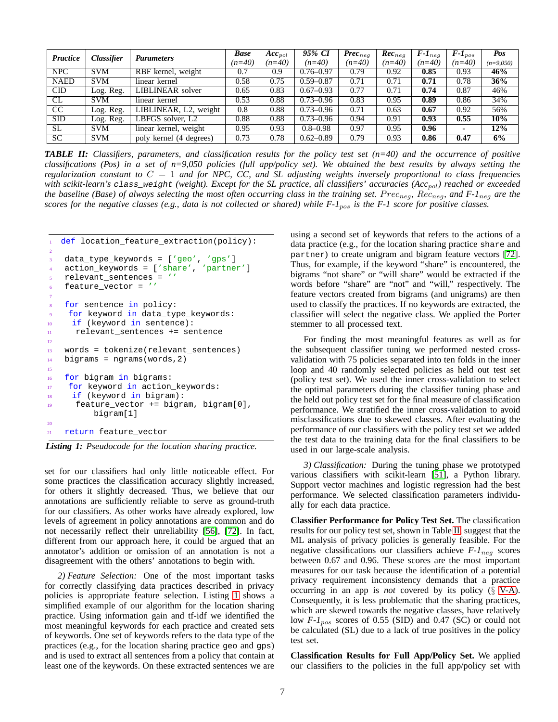<span id="page-6-1"></span>

| <b>Classifier</b><br>Practice |                                | Parameters                         | <b>Base</b> | $Acc_{pol}$ | 95% CI        | $\boldsymbol{Prec}_{\textit{nea}}$ | $Rec_{neq}$ | $F-I_{neq}$ | $F-I_{pos}$              | Pos         |
|-------------------------------|--------------------------------|------------------------------------|-------------|-------------|---------------|------------------------------------|-------------|-------------|--------------------------|-------------|
|                               |                                |                                    | $(n=40)$    | $(n=40)$    | $(n=40)$      | $(n=40)$                           | $(n=40)$    | $(n=40)$    | $(n=40)$                 | $(n=9,050)$ |
| <b>NPC</b>                    | <b>SVM</b>                     | RBF kernel, weight                 | 0.7         | 0.9         | $0.76 - 0.97$ | 0.79                               | 0.92        | 0.85        | 0.93                     | 46%         |
| <b>NAED</b>                   | <b>SVM</b>                     | linear kernel                      | 0.58        | 0.75        | $0.59 - 0.87$ | 0.71                               | 0.71        | 0.71        | 0.78                     | $36\%$      |
| $\overline{\rm CD}$           | Log. Reg.                      | LIBLINEAR solver                   | 0.65        | 0.83        | $0.67 - 0.93$ | 0.77                               | 0.71        | 0.74        | 0.87                     | 46%         |
| CL.                           | <b>SVM</b>                     | linear kernel                      | 0.53        | 0.88        | $0.73 - 0.96$ | 0.83                               | 0.95        | 0.89        | 0.86                     | 34%         |
| CC                            | $\overline{\text{Log}}$ . Reg. | LIBLINEAR, L <sub>2</sub> , weight | 0.8         | 0.88        | $0.73 - 0.96$ | 0.71                               | 0.63        | 0.67        | 0.92                     | 56%         |
| <b>SID</b>                    | Log. Reg.                      | LBFGS solver, L2                   | 0.88        | 0.88        | $0.73 - 0.96$ | 0.94                               | 0.91        | 0.93        | 0.55                     | 10%         |
| SL.                           | <b>SVM</b>                     | linear kernel, weight              | 0.95        | 0.93        | $0.8 - 0.98$  | 0.97                               | 0.95        | 0.96        | $\overline{\phantom{0}}$ | 12%         |
| <b>SC</b>                     | <b>SVM</b>                     | poly kernel (4 degrees)            | 0.73        | 0.78        | $0.62 - 0.89$ | 0.79                               | 0.93        | 0.86        | 0.47                     | 6%          |

*TABLE II: Classifiers, parameters, and classification results for the policy test set (n=40) and the occurrence of positive classifications (Pos) in a set of n=9,050 policies (full app/policy set). We obtained the best results by always setting the regularization constant to* C = 1 *and for NPC, CC, and SL adjusting weights inversely proportional to class frequencies with scikit-learn's class\_weight (weight). Except for the SL practice, all classifiers' accuracies (Acc<sub>pol</sub>) reached or exceeded the baseline (Base) of always selecting the most often occurring class in the training set.*  $Prec_{neq}$ *,*  $Rec_{neq}$ *, and*  $F-1_{neq}$  *are the scores for the negative classes (e.g., data is not collected or shared) while F-1*pos *is the F-1 score for positive classes.*

```
1 def location_feature_extraction(policy):
2
   3 data_type_keywords = ['geo', 'gps']
4 action_keywords = ['share', 'partner']
   5 relevant_sentences = ''
   6 feature_vector = ''
7
   for sentence in policy:
9 for keyword in data_type_keywords:
10 if (keyword in sentence):
11 relevant_sentences += sentence
12
13 words = tokenize(relevant_sentences)
14 bigrams = ngrams(words, 2)
15
16 for bigram in bigrams:
17 for keyword in action_keywords:
18 if (keyword in bigram):
19 feature_vector += bigram, bigram[0],
         bigram[1]
20
21 return feature_vector
```
*Listing 1: Pseudocode for the location sharing practice.*

set for our classifiers had only little noticeable effect. For some practices the classification accuracy slightly increased, for others it slightly decreased. Thus, we believe that our annotations are sufficiently reliable to serve as ground-truth for our classifiers. As other works have already explored, low levels of agreement in policy annotations are common and do not necessarily reflect their unreliability [\[56\]](#page-14-10), [\[72\]](#page-14-4). In fact, different from our approach here, it could be argued that an annotator's addition or omission of an annotation is not a disagreement with the others' annotations to begin with.

<span id="page-6-3"></span>*2) Feature Selection:* One of the most important tasks for correctly classifying data practices described in privacy policies is appropriate feature selection. Listing [1](#page-6-0) shows a simplified example of our algorithm for the location sharing practice. Using information gain and tf-idf we identified the most meaningful keywords for each practice and created sets of keywords. One set of keywords refers to the data type of the practices (e.g., for the location sharing practice geo and gps) and is used to extract all sentences from a policy that contain at least one of the keywords. On these extracted sentences we are using a second set of keywords that refers to the actions of a data practice (e.g., for the location sharing practice share and partner) to create unigram and bigram feature vectors [\[72\]](#page-14-4). Thus, for example, if the keyword "share" is encountered, the bigrams "not share" or "will share" would be extracted if the words before "share" are "not" and "will," respectively. The feature vectors created from bigrams (and unigrams) are then used to classify the practices. If no keywords are extracted, the classifier will select the negative class. We applied the Porter stemmer to all processed text.

For finding the most meaningful features as well as for the subsequent classifier tuning we performed nested crossvalidation with 75 policies separated into ten folds in the inner loop and 40 randomly selected policies as held out test set (policy test set). We used the inner cross-validation to select the optimal parameters during the classifier tuning phase and the held out policy test set for the final measure of classification performance. We stratified the inner cross-validation to avoid misclassifications due to skewed classes. After evaluating the performance of our classifiers with the policy test set we added the test data to the training data for the final classifiers to be used in our large-scale analysis.

<span id="page-6-2"></span>*3) Classification:* During the tuning phase we prototyped various classifiers with scikit-learn [\[51\]](#page-14-29), a Python library. Support vector machines and logistic regression had the best performance. We selected classification parameters individually for each data practice.

**Classifier Performance for Policy Test Set.** The classification results for our policy test set, shown in Table [II,](#page-6-1) suggest that the ML analysis of privacy policies is generally feasible. For the negative classifications our classifiers achieve  $F-I_{neq}$  scores between 0.67 and 0.96. These scores are the most important measures for our task because the identification of a potential privacy requirement inconsistency demands that a practice occurring in an app is *not* covered by its policy (§ [V-A\)](#page-9-1). Consequently, it is less problematic that the sharing practices, which are skewed towards the negative classes, have relatively low *F-1*<sub>pos</sub> scores of 0.55 (SID) and 0.47 (SC) or could not be calculated (SL) due to a lack of true positives in the policy test set.

**Classification Results for Full App/Policy Set.** We applied our classifiers to the policies in the full app/policy set with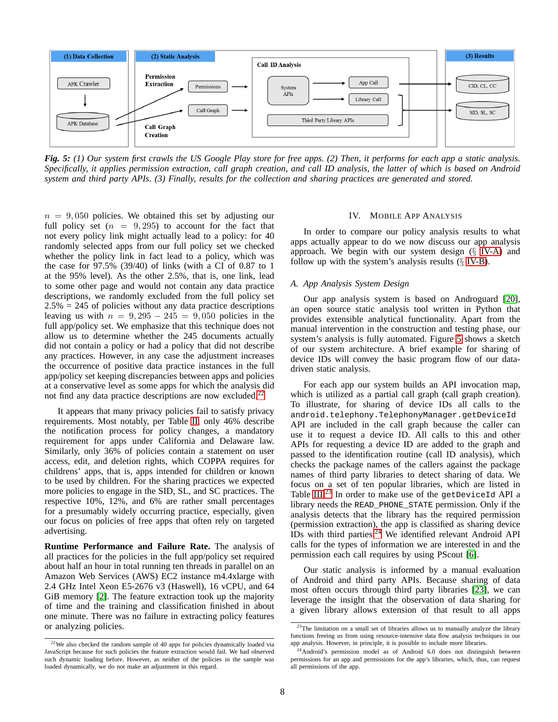<span id="page-7-3"></span>

*Fig. 5: (1) Our system first crawls the US Google Play store for free apps. (2) Then, it performs for each app a static analysis. Specifically, it applies permission extraction, call graph creation, and call ID analysis, the latter of which is based on Android system and third party APIs. (3) Finally, results for the collection and sharing practices are generated and stored.*

 $n = 9,050$  policies. We obtained this set by adjusting our full policy set  $(n = 9, 295)$  to account for the fact that not every policy link might actually lead to a policy: for 40 randomly selected apps from our full policy set we checked whether the policy link in fact lead to a policy, which was the case for 97.5% (39/40) of links (with a CI of 0.87 to 1 at the 95% level). As the other 2.5%, that is, one link, lead to some other page and would not contain any data practice descriptions, we randomly excluded from the full policy set  $2.5\% = 245$  of policies without any data practice descriptions leaving us with  $n = 9,295 - 245 = 9,050$  policies in the full app/policy set. We emphasize that this technique does not allow us to determine whether the 245 documents actually did not contain a policy or had a policy that did not describe any practices. However, in any case the adjustment increases the occurrence of positive data practice instances in the full app/policy set keeping discrepancies between apps and policies at a conservative level as some apps for which the analysis did not find any data practice descriptions are now excluded.<sup>[22](#page-7-1)</sup>

It appears that many privacy policies fail to satisfy privacy requirements. Most notably, per Table [II,](#page-6-1) only 46% describe the notification process for policy changes, a mandatory requirement for apps under California and Delaware law. Similarly, only 36% of policies contain a statement on user access, edit, and deletion rights, which COPPA requires for childrens' apps, that is, apps intended for children or known to be used by children. For the sharing practices we expected more policies to engage in the SID, SL, and SC practices. The respective 10%, 12%, and 6% are rather small percentages for a presumably widely occurring practice, especially, given our focus on policies of free apps that often rely on targeted advertising.

**Runtime Performance and Failure Rate.** The analysis of all practices for the policies in the full app/policy set required about half an hour in total running ten threads in parallel on an Amazon Web Services (AWS) EC2 instance m4.4xlarge with 2.4 GHz Intel Xeon E5-2676 v3 (Haswell), 16 vCPU, and 64 GiB memory [\[2\]](#page-13-24). The feature extraction took up the majority of time and the training and classification finished in about one minute. There was no failure in extracting policy features or analyzing policies.

# IV. MOBILE APP ANALYSIS

<span id="page-7-0"></span>In order to compare our policy analysis results to what apps actually appear to do we now discuss our app analysis approach. We begin with our system design  $(\S$  [IV-A\)](#page-7-2) and follow up with the system's analysis results  $(\S$  [IV-B\)](#page-8-0).

## <span id="page-7-2"></span>*A. App Analysis System Design*

Our app analysis system is based on Androguard [\[20\]](#page-13-12), an open source static analysis tool written in Python that provides extensible analytical functionality. Apart from the manual intervention in the construction and testing phase, our system's analysis is fully automated. Figure [5](#page-7-3) shows a sketch of our system architecture. A brief example for sharing of device IDs will convey the basic program flow of our datadriven static analysis.

For each app our system builds an API invocation map, which is utilized as a partial call graph (call graph creation). To illustrate, for sharing of device IDs all calls to the android.telephony.TelephonyManager.getDeviceId API are included in the call graph because the caller can use it to request a device ID. All calls to this and other APIs for requesting a device ID are added to the graph and passed to the identification routine (call ID analysis), which checks the package names of the callers against the package names of third party libraries to detect sharing of data. We focus on a set of ten popular libraries, which are listed in Table [III.](#page-8-1)<sup>[23](#page-7-4)</sup> In order to make use of the getDeviceId API a library needs the READ\_PHONE\_STATE permission. Only if the analysis detects that the library has the required permission (permission extraction), the app is classified as sharing device IDs with third parties.<sup>[24](#page-7-5)</sup> We identified relevant Android API calls for the types of information we are interested in and the permission each call requires by using PScout [\[6\]](#page-13-13).

Our static analysis is informed by a manual evaluation of Android and third party APIs. Because sharing of data most often occurs through third party libraries [\[23\]](#page-13-16), we can leverage the insight that the observation of data sharing for a given library allows extension of that result to all apps

<span id="page-7-1"></span> $22$ We also checked the random sample of 40 apps for policies dynamically loaded via JavaScript because for such policies the feature extraction would fail. We had observed such dynamic loading before. However, as neither of the policies in the sample was loaded dynamically, we do not make an adjustment in this regard.

<span id="page-7-4"></span><sup>&</sup>lt;sup>23</sup>The limitation on a small set of libraries allows us to manually analyze the library functions freeing us from using resource-intensive data flow analysis techniques in our app analysis. However, in principle, it is possible to include more libraries.

<span id="page-7-5"></span><sup>&</sup>lt;sup>24</sup>Android's permission model as of Android 6.0 does not distinguish between permissions for an app and permissions for the app's libraries, which, thus, can request all permissions of the app.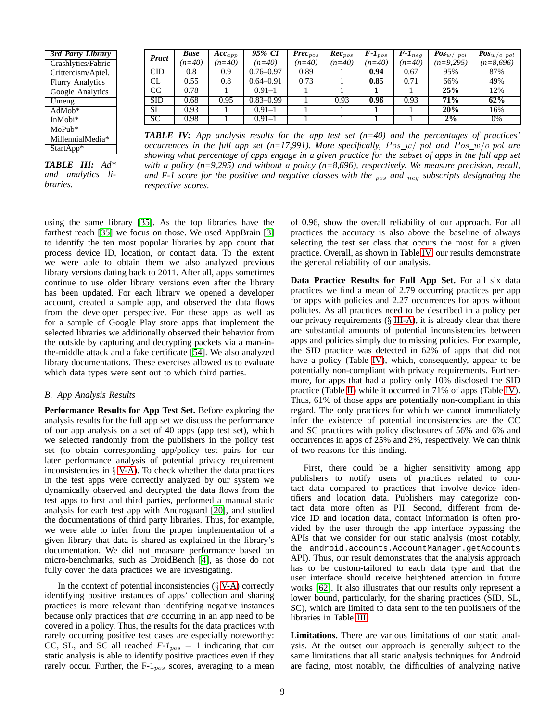<span id="page-8-1"></span>

| 3rd Party Library       |
|-------------------------|
| Crashlytics/Fabric      |
| Crittercism/Aptel.      |
| <b>Flurry Analytics</b> |
| <b>Google Analytics</b> |
| Umeng                   |
| $AdMob*$                |
| InMobi*                 |
| $MoPub*$                |
| MillennialMedia*        |
| StartApp*               |

*TABLE III: Ad\* and analytics libraries.*

| <b>Pract</b> | <b>Base</b> | $\boldsymbol{Acc}_{app}$ | 95% CI        | $\textit{Prec}_{pos}$ | $Rec_{pos}$ | $F-I_{pos}$ | $F-I_{neg}$ | . Pos $_{w/\ pol}$ | $+$ Pos <sub>w/0</sub> pol |
|--------------|-------------|--------------------------|---------------|-----------------------|-------------|-------------|-------------|--------------------|----------------------------|
|              | $(n=40)$    | $(n=40)$                 | $(n=40)$      | $(n=40)$              | $(n=40)$    | $(n=40)$    | $(n=40)$    | $(n=9,295)$        | $(n=8,696)$                |
| <b>CID</b>   | $0.8\,$     | 0.9                      | $0.76 - 0.97$ | 0.89                  |             | 0.94        | 0.67        | 95%                | 87%                        |
| CL           | 0.55        | 0.8                      | $0.64 - 0.91$ | 0.73                  |             | 0.85        | 0.71        | 66%                | 49%                        |
| <b>CC</b>    | 0.78        |                          | $0.91 - 1$    |                       |             |             |             | 25%                | 12%                        |
| <b>SID</b>   | 0.68        | 0.95                     | $0.83 - 0.99$ |                       | 0.93        | 0.96        | 0.93        | 71%                | 62%                        |
| <b>SL</b>    | 0.93        |                          | $0.91 - 1$    |                       |             |             |             | 20%                | 16%                        |
| <b>SC</b>    | 0.98        |                          | $0.91 - 1$    |                       |             |             |             | 2%                 | 0%                         |

*TABLE IV: App analysis results for the app test set (n=40) and the percentages of practices' occurrences in the full app set (n=17,991). More specifically,*  $Pos_w/p$  *pol and*  $Pos_w/p$  *pol are showing what percentage of apps engage in a given practice for the subset of apps in the full app set with a policy (n=9,295) and without a policy (n=8,696), respectively. We measure precision, recall, and F-1 score for the positive and negative classes with the* pos *and* neg *subscripts designating the respective scores.*

using the same library [\[35\]](#page-14-12). As the top libraries have the farthest reach [\[35\]](#page-14-12) we focus on those. We used AppBrain [\[3\]](#page-13-25) to identify the ten most popular libraries by app count that process device ID, location, or contact data. To the extent we were able to obtain them we also analyzed previous library versions dating back to 2011. After all, apps sometimes continue to use older library versions even after the library has been updated. For each library we opened a developer account, created a sample app, and observed the data flows from the developer perspective. For these apps as well as for a sample of Google Play store apps that implement the selected libraries we additionally observed their behavior from the outside by capturing and decrypting packets via a man-inthe-middle attack and a fake certificate [\[54\]](#page-14-30). We also analyzed library documentations. These exercises allowed us to evaluate which data types were sent out to which third parties.

# <span id="page-8-0"></span>*B. App Analysis Results*

**Performance Results for App Test Set.** Before exploring the analysis results for the full app set we discuss the performance of our app analysis on a set of 40 apps (app test set), which we selected randomly from the publishers in the policy test set (to obtain corresponding app/policy test pairs for our later performance analysis of potential privacy requirement inconsistencies in  $\S$  [V-A\)](#page-9-1). To check whether the data practices in the test apps were correctly analyzed by our system we dynamically observed and decrypted the data flows from the test apps to first and third parties, performed a manual static analysis for each test app with Androguard [\[20\]](#page-13-12), and studied the documentations of third party libraries. Thus, for example, we were able to infer from the proper implementation of a given library that data is shared as explained in the library's documentation. We did not measure performance based on micro-benchmarks, such as DroidBench [\[4\]](#page-13-15), as those do not fully cover the data practices we are investigating.

In the context of potential inconsistencies  $(\S V-A)$  $(\S V-A)$  correctly identifying positive instances of apps' collection and sharing practices is more relevant than identifying negative instances because only practices that *are* occurring in an app need to be covered in a policy. Thus, the results for the data practices with rarely occurring positive test cases are especially noteworthy: CC, SL, and SC all reached  $F-I_{pos} = 1$  indicating that our static analysis is able to identify positive practices even if they rarely occur. Further, the  $F-1_{pos}$  scores, averaging to a mean of 0.96, show the overall reliability of our approach. For all practices the accuracy is also above the baseline of always selecting the test set class that occurs the most for a given practice. Overall, as shown in Table [IV,](#page-8-1) our results demonstrate the general reliability of our analysis.

**Data Practice Results for Full App Set.** For all six data practices we find a mean of 2.79 occurring practices per app for apps with policies and 2.27 occurrences for apps without policies. As all practices need to be described in a policy per our privacy requirements (§ [III-A\)](#page-2-2), it is already clear that there are substantial amounts of potential inconsistencies between apps and policies simply due to missing policies. For example, the SID practice was detected in 62% of apps that did not have a policy (Table [IV\)](#page-8-1), which, consequently, appear to be potentially non-compliant with privacy requirements. Furthermore, for apps that had a policy only 10% disclosed the SID practice (Table [II\)](#page-6-1) while it occurred in 71% of apps (Table [IV\)](#page-8-1). Thus, 61% of those apps are potentially non-compliant in this regard. The only practices for which we cannot immediately infer the existence of potential inconsistencies are the CC and SC practices with policy disclosures of 56% and 6% and occurrences in apps of 25% and 2%, respectively. We can think of two reasons for this finding.

First, there could be a higher sensitivity among app publishers to notify users of practices related to contact data compared to practices that involve device identifiers and location data. Publishers may categorize contact data more often as PII. Second, different from device ID and location data, contact information is often provided by the user through the app interface bypassing the APIs that we consider for our static analysis (most notably, the android.accounts.AccountManager.getAccounts API). Thus, our result demonstrates that the analysis approach has to be custom-tailored to each data type and that the user interface should receive heightened attention in future works [\[62\]](#page-14-11). It also illustrates that our results only represent a lower bound, particularly, for the sharing practices (SID, SL, SC), which are limited to data sent to the ten publishers of the libraries in Table [III.](#page-8-1)

**Limitations.** There are various limitations of our static analysis. At the outset our approach is generally subject to the same limitations that all static analysis techniques for Android are facing, most notably, the difficulties of analyzing native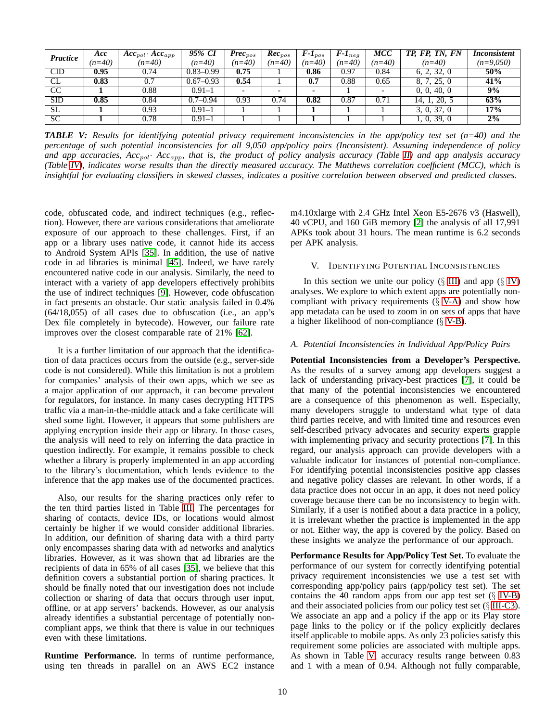<span id="page-9-2"></span>

| Practice   | Acc      | $Acc_{pol}$ $Acc_{app}$ | 95% CI        | $Prec_{pos}$             | $Rec_{pos}$ | $F-I_{pos}$              | $F-I_{neq}$ | <b>MCC</b> | TP, FP, TN, FN | <i>Inconsistent</i> |
|------------|----------|-------------------------|---------------|--------------------------|-------------|--------------------------|-------------|------------|----------------|---------------------|
|            | $(n=40)$ | $(n=40)$                | $(n=40)$      | $(n=40)$                 | $(n=40)$    | $(n=40)$                 | $(n=40)$    | $(n=40)$   | $(n=40)$       | $(n=9,050)$         |
| <b>CID</b> | 0.95     | 0.74                    | $0.83 - 0.99$ | 0.75                     |             | 0.86                     | 0.97        | 0.84       | 6, 2, 32, 0    | 50%                 |
| CL.        | 0.83     | 0.7                     | $0.67 - 0.93$ | 0.54                     |             | 0.7                      | 0.88        | 0.65       | 8, 7, 25, 0    | 41%                 |
| CC         |          | 0.88                    | $0.91 - 1$    | $\overline{\phantom{0}}$ |             | $\overline{\phantom{0}}$ |             |            | 0, 0, 40, 0    | 9%                  |
| <b>SID</b> | 0.85     | 0.84                    | $0.7 - 0.94$  | 0.93                     | 0.74        | 0.82                     | 0.87        | 0.71       | 14, 1, 20, 5   | 63%                 |
| SL.        |          | 0.93                    | $0.91 - 1$    |                          |             |                          |             |            | 3, 0, 37, 0    | 17%                 |
| <b>SC</b>  |          | 0.78                    | $0.91 - 1$    |                          |             |                          |             |            | 1, 0, 39, 0    | 2%                  |

*TABLE V: Results for identifying potential privacy requirement inconsistencies in the app/policy test set (n=40) and the percentage of such potential inconsistencies for all 9,050 app/policy pairs (Inconsistent). Assuming independence of policy and app accuracies, Acc*pol· *Acc*app*, that is, the product of policy analysis accuracy (Table [II\)](#page-6-1) and app analysis accuracy (Table [IV\)](#page-8-1), indicates worse results than the directly measured accuracy. The Matthews correlation coefficient (MCC), which is insightful for evaluating classifiers in skewed classes, indicates a positive correlation between observed and predicted classes.*

code, obfuscated code, and indirect techniques (e.g., reflection). However, there are various considerations that ameliorate exposure of our approach to these challenges. First, if an app or a library uses native code, it cannot hide its access to Android System APIs [\[35\]](#page-14-12). In addition, the use of native code in ad libraries is minimal [\[45\]](#page-14-17). Indeed, we have rarely encountered native code in our analysis. Similarly, the need to interact with a variety of app developers effectively prohibits the use of indirect techniques [\[9\]](#page-13-26). However, code obfuscation in fact presents an obstacle. Our static analysis failed in 0.4% (64/18,055) of all cases due to obfuscation (i.e., an app's Dex file completely in bytecode). However, our failure rate improves over the closest comparable rate of 21% [\[62\]](#page-14-11).

It is a further limitation of our approach that the identification of data practices occurs from the outside (e.g., server-side code is not considered). While this limitation is not a problem for companies' analysis of their own apps, which we see as a major application of our approach, it can become prevalent for regulators, for instance. In many cases decrypting HTTPS traffic via a man-in-the-middle attack and a fake certificate will shed some light. However, it appears that some publishers are applying encryption inside their app or library. In those cases, the analysis will need to rely on inferring the data practice in question indirectly. For example, it remains possible to check whether a library is properly implemented in an app according to the library's documentation, which lends evidence to the inference that the app makes use of the documented practices.

Also, our results for the sharing practices only refer to the ten third parties listed in Table [III.](#page-8-1) The percentages for sharing of contacts, device IDs, or locations would almost certainly be higher if we would consider additional libraries. In addition, our definition of sharing data with a third party only encompasses sharing data with ad networks and analytics libraries. However, as it was shown that ad libraries are the recipients of data in 65% of all cases [\[35\]](#page-14-12), we believe that this definition covers a substantial portion of sharing practices. It should be finally noted that our investigation does not include collection or sharing of data that occurs through user input, offline, or at app servers' backends. However, as our analysis already identifies a substantial percentage of potentially noncompliant apps, we think that there is value in our techniques even with these limitations.

**Runtime Performance.** In terms of runtime performance, using ten threads in parallel on an AWS EC2 instance m4.10xlarge with 2.4 GHz Intel Xeon E5-2676 v3 (Haswell), 40 vCPU, and 160 GiB memory [\[2\]](#page-13-24) the analysis of all 17,991 APKs took about 31 hours. The mean runtime is 6.2 seconds per APK analysis.

# <span id="page-9-0"></span>V. IDENTIFYING POTENTIAL INCONSISTENCIES

In this section we unite our policy  $(\S$  [III\)](#page-2-0) and app  $(\S$  [IV\)](#page-7-0) analyses. We explore to which extent apps are potentially noncompliant with privacy requirements  $(\S V-A)$  $(\S V-A)$  and show how app metadata can be used to zoom in on sets of apps that have a higher likelihood of non-compliance (§ [V-B\)](#page-10-0).

## <span id="page-9-1"></span>*A. Potential Inconsistencies in Individual App/Policy Pairs*

**Potential Inconsistencies from a Developer's Perspective.** As the results of a survey among app developers suggest a lack of understanding privacy-best practices [\[7\]](#page-13-0), it could be that many of the potential inconsistencies we encountered are a consequence of this phenomenon as well. Especially, many developers struggle to understand what type of data third parties receive, and with limited time and resources even self-described privacy advocates and security experts grapple with implementing privacy and security protections [\[7\]](#page-13-0). In this regard, our analysis approach can provide developers with a valuable indicator for instances of potential non-compliance. For identifying potential inconsistencies positive app classes and negative policy classes are relevant. In other words, if a data practice does not occur in an app, it does not need policy coverage because there can be no inconsistency to begin with. Similarly, if a user is notified about a data practice in a policy, it is irrelevant whether the practice is implemented in the app or not. Either way, the app is covered by the policy. Based on these insights we analyze the performance of our approach.

**Performance Results for App/Policy Test Set.** To evaluate the performance of our system for correctly identifying potential privacy requirement inconsistencies we use a test set with corresponding app/policy pairs (app/policy test set). The set contains the 40 random apps from our app test set  $(\S$  [IV-B\)](#page-8-0) and their associated policies from our policy test set  $(\S$  [III-C3\)](#page-6-2). We associate an app and a policy if the app or its Play store page links to the policy or if the policy explicitly declares itself applicable to mobile apps. As only 23 policies satisfy this requirement some policies are associated with multiple apps. As shown in Table [V,](#page-9-2) accuracy results range between 0.83 and 1 with a mean of 0.94. Although not fully comparable,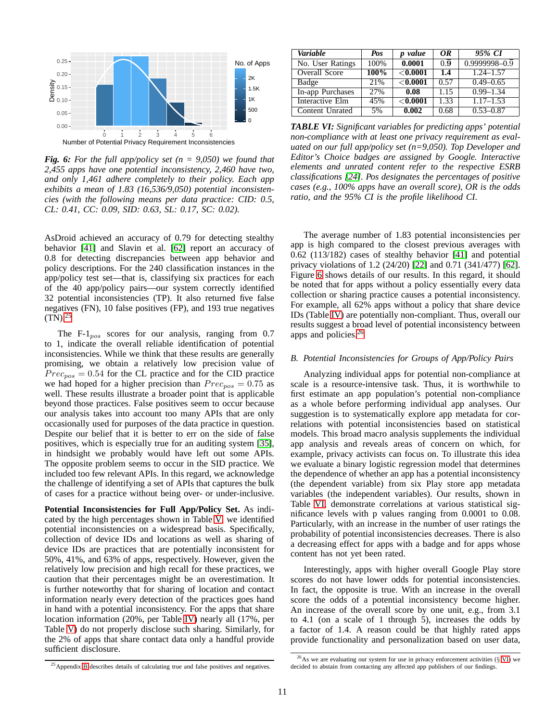<span id="page-10-2"></span>

*Fig. 6: For the full app/policy set (n = 9,050) we found that 2,455 apps have one potential inconsistency, 2,460 have two, and only 1,461 adhere completely to their policy. Each app exhibits a mean of 1.83 (16,536/9,050) potential inconsistencies (with the following means per data practice: CID: 0.5, CL: 0.41, CC: 0.09, SID: 0.63, SL: 0.17, SC: 0.02).*

AsDroid achieved an accuracy of 0.79 for detecting stealthy behavior [\[41\]](#page-14-20) and Slavin et al. [\[62\]](#page-14-11) report an accuracy of 0.8 for detecting discrepancies between app behavior and policy descriptions. For the 240 classification instances in the app/policy test set—that is, classifying six practices for each of the 40 app/policy pairs—our system correctly identified 32 potential inconsistencies (TP). It also returned five false negatives (FN), 10 false positives (FP), and 193 true negatives  $(TN)^{25}$  $(TN)^{25}$  $(TN)^{25}$ 

The F- $1_{pos}$  scores for our analysis, ranging from 0.7 to 1, indicate the overall reliable identification of potential inconsistencies. While we think that these results are generally promising, we obtain a relatively low precision value of  $Prec<sub>pos</sub> = 0.54$  for the CL practice and for the CID practice we had hoped for a higher precision than  $Prec_{pos} = 0.75$  as well. These results illustrate a broader point that is applicable beyond those practices. False positives seem to occur because our analysis takes into account too many APIs that are only occasionally used for purposes of the data practice in question. Despite our belief that it is better to err on the side of false positives, which is especially true for an auditing system [\[35\]](#page-14-12), in hindsight we probably would have left out some APIs. The opposite problem seems to occur in the SID practice. We included too few relevant APIs. In this regard, we acknowledge the challenge of identifying a set of APIs that captures the bulk of cases for a practice without being over- or under-inclusive.

**Potential Inconsistencies for Full App/Policy Set.** As indicated by the high percentages shown in Table [V,](#page-9-2) we identified potential inconsistencies on a widespread basis. Specifically, collection of device IDs and locations as well as sharing of device IDs are practices that are potentially inconsistent for 50%, 41%, and 63% of apps, respectively. However, given the relatively low precision and high recall for these practices, we caution that their percentages might be an overestimation. It is further noteworthy that for sharing of location and contact information nearly every detection of the practices goes hand in hand with a potential inconsistency. For the apps that share location information (20%, per Table [IV\)](#page-8-1) nearly all (17%, per Table [V\)](#page-9-2) do not properly disclose such sharing. Similarly, for the 2% of apps that share contact data only a handful provide sufficient disclosure.

<span id="page-10-4"></span>

| Variable             | Pos  | p value     | OR               | 95% CI                       |
|----------------------|------|-------------|------------------|------------------------------|
| No. User Ratings     | 100% | 0.0001      | $\overline{0.9}$ | $0.9999998 - 0.\overline{9}$ |
| <b>Overall Score</b> | 100% | ${<}0.0001$ | 1.4              | $1.24 - 1.57$                |
| Badge                | 21%  | ${<}0.0001$ | 0.57             | $0.49 - 0.65$                |
| In-app Purchases     | 27%  | 0.08        | 1.15             | $0.99 - 1.34$                |
| Interactive Elm      | 45%  | ${<}0.0001$ | 1.33             | $1.17 - 1.53$                |
| Content Unrated      | 5%   | 0.002       | 0.68             | $0.53 - 0.87$                |

*TABLE VI: Significant variables for predicting apps' potential non-compliance with at least one privacy requirement as evaluated on our full app/policy set (n=9,050). Top Developer and Editor's Choice badges are assigned by Google. Interactive elements and unrated content refer to the respective ESRB classifications [\[24\]](#page-13-23). Pos designates the percentages of positive cases (e.g., 100% apps have an overall score), OR is the odds ratio, and the 95% CI is the profile likelihood CI.*

The average number of 1.83 potential inconsistencies per app is high compared to the closest previous averages with 0.62 (113/182) cases of stealthy behavior [\[41\]](#page-14-20) and potential privacy violations of 1.2 (24/20) [\[22\]](#page-13-10) and 0.71 (341/477) [\[62\]](#page-14-11). Figure [6](#page-10-2) shows details of our results. In this regard, it should be noted that for apps without a policy essentially every data collection or sharing practice causes a potential inconsistency. For example, all 62% apps without a policy that share device IDs (Table [IV\)](#page-8-1) are potentially non-compliant. Thus, overall our results suggest a broad level of potential inconsistency between apps and policies.[26](#page-10-3)

# <span id="page-10-0"></span>*B. Potential Inconsistencies for Groups of App/Policy Pairs*

Analyzing individual apps for potential non-compliance at scale is a resource-intensive task. Thus, it is worthwhile to first estimate an app population's potential non-compliance as a whole before performing individual app analyses. Our suggestion is to systematically explore app metadata for correlations with potential inconsistencies based on statistical models. This broad macro analysis supplements the individual app analysis and reveals areas of concern on which, for example, privacy activists can focus on. To illustrate this idea we evaluate a binary logistic regression model that determines the dependence of whether an app has a potential inconsistency (the dependent variable) from six Play store app metadata variables (the independent variables). Our results, shown in Table [VI,](#page-10-4) demonstrate correlations at various statistical significance levels with p values ranging from 0.0001 to 0.08. Particularly, with an increase in the number of user ratings the probability of potential inconsistencies decreases. There is also a decreasing effect for apps with a badge and for apps whose content has not yet been rated.

Interestingly, apps with higher overall Google Play store scores do not have lower odds for potential inconsistencies. In fact, the opposite is true. With an increase in the overall score the odds of a potential inconsistency become higher. An increase of the overall score by one unit, e.g., from 3.1 to 4.1 (on a scale of 1 through 5), increases the odds by a factor of 1.4. A reason could be that highly rated apps provide functionality and personalization based on user data,

<span id="page-10-1"></span><sup>&</sup>lt;sup>25</sup> Appendix [B](#page-14-31) describes details of calculating true and false positives and negatives.

<span id="page-10-3"></span> $^{26}$ As we are evaluating our system for use in privacy enforcement activities ( $\S$  [VI\)](#page-11-0) we decided to abstain from contacting any affected app publishers of our findings.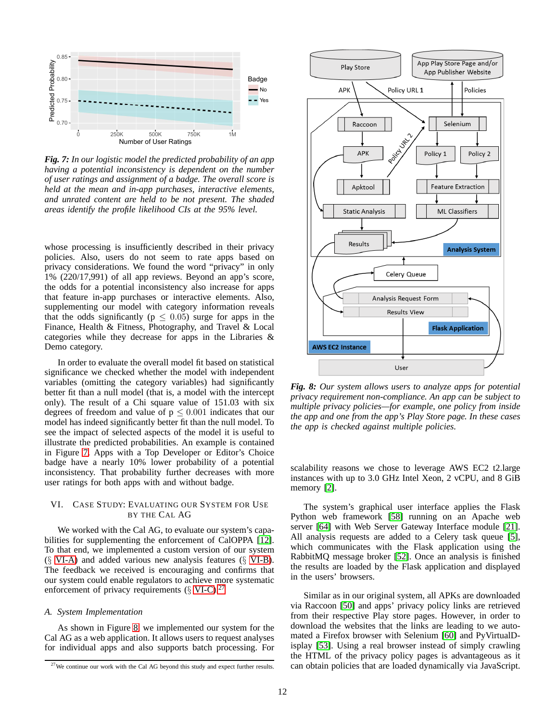<span id="page-11-1"></span>

*Fig. 7: In our logistic model the predicted probability of an app having a potential inconsistency is dependent on the number of user ratings and assignment of a badge. The overall score is held at the mean and in-app purchases, interactive elements, and unrated content are held to be not present. The shaded areas identify the profile likelihood CIs at the 95% level.*

whose processing is insufficiently described in their privacy policies. Also, users do not seem to rate apps based on privacy considerations. We found the word "privacy" in only 1% (220/17,991) of all app reviews. Beyond an app's score, the odds for a potential inconsistency also increase for apps that feature in-app purchases or interactive elements. Also, supplementing our model with category information reveals that the odds significantly ( $p \leq 0.05$ ) surge for apps in the Finance, Health & Fitness, Photography, and Travel & Local categories while they decrease for apps in the Libraries & Demo category.

In order to evaluate the overall model fit based on statistical significance we checked whether the model with independent variables (omitting the category variables) had significantly better fit than a null model (that is, a model with the intercept only). The result of a Chi square value of 151.03 with six degrees of freedom and value of  $p \leq 0.001$  indicates that our model has indeed significantly better fit than the null model. To see the impact of selected aspects of the model it is useful to illustrate the predicted probabilities. An example is contained in Figure [7.](#page-11-1) Apps with a Top Developer or Editor's Choice badge have a nearly 10% lower probability of a potential inconsistency. That probability further decreases with more user ratings for both apps with and without badge.

# <span id="page-11-0"></span>VI. CASE STUDY: EVALUATING OUR SYSTEM FOR USE BY THE CAL AG

We worked with the Cal AG, to evaluate our system's capabilities for supplementing the enforcement of CalOPPA [\[12\]](#page-13-27). To that end, we implemented a custom version of our system  $(\S$  [VI-A\)](#page-11-2) and added various new analysis features  $(\S$  [VI-B\)](#page-12-0). The feedback we received is encouraging and confirms that our system could enable regulators to achieve more systematic enforcement of privacy requirements  $(\S$  [VI-C\)](#page-12-1).<sup>[27](#page-11-3)</sup>

# <span id="page-11-2"></span>*A. System Implementation*

As shown in Figure [8,](#page-11-4) we implemented our system for the Cal AG as a web application. It allows users to request analyses for individual apps and also supports batch processing. For

<span id="page-11-4"></span>

*Fig. 8: Our system allows users to analyze apps for potential privacy requirement non-compliance. An app can be subject to multiple privacy policies—for example, one policy from inside the app and one from the app's Play Store page. In these cases the app is checked against multiple policies.*

scalability reasons we chose to leverage AWS EC2 t2.large instances with up to 3.0 GHz Intel Xeon, 2 vCPU, and 8 GiB memory [\[2\]](#page-13-24).

The system's graphical user interface applies the Flask Python web framework [\[58\]](#page-14-32) running on an Apache web server [\[64\]](#page-14-33) with Web Server Gateway Interface module [\[21\]](#page-13-28). All analysis requests are added to a Celery task queue [\[5\]](#page-13-29), which communicates with the Flask application using the RabbitMQ message broker [\[52\]](#page-14-34). Once an analysis is finished the results are loaded by the Flask application and displayed in the users' browsers.

Similar as in our original system, all APKs are downloaded via Raccoon [\[50\]](#page-14-35) and apps' privacy policy links are retrieved from their respective Play store pages. However, in order to download the websites that the links are leading to we automated a Firefox browser with Selenium [\[60\]](#page-14-36) and PyVirtualDisplay [\[53\]](#page-14-37). Using a real browser instead of simply crawling the HTML of the privacy policy pages is advantageous as it can obtain policies that are loaded dynamically via JavaScript.

<span id="page-11-3"></span><sup>&</sup>lt;sup>27</sup>We continue our work with the Cal AG beyond this study and expect further results.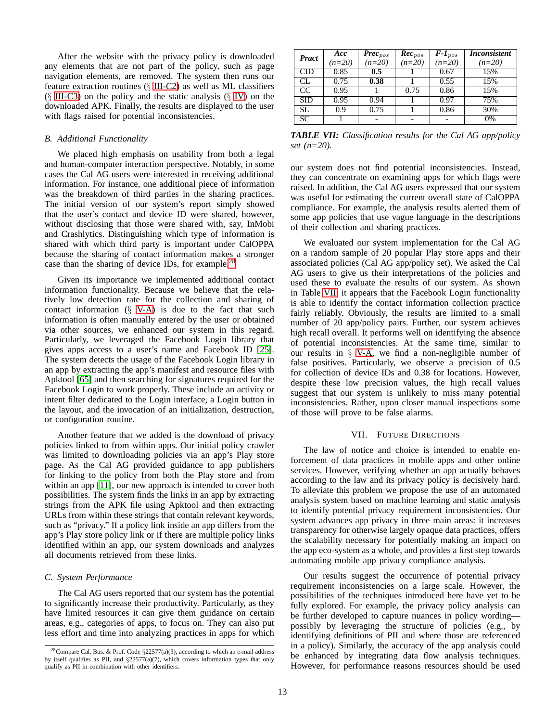After the website with the privacy policy is downloaded any elements that are not part of the policy, such as page navigation elements, are removed. The system then runs our feature extraction routines  $(\S$  [III-C2\)](#page-6-3) as well as ML classifiers  $(\S$  [III-C3\)](#page-6-2) on the policy and the static analysis  $(\S$  [IV\)](#page-7-0) on the downloaded APK. Finally, the results are displayed to the user with flags raised for potential inconsistencies.

#### <span id="page-12-0"></span>*B. Additional Functionality*

We placed high emphasis on usability from both a legal and human-computer interaction perspective. Notably, in some cases the Cal AG users were interested in receiving additional information. For instance, one additional piece of information was the breakdown of third parties in the sharing practices. The initial version of our system's report simply showed that the user's contact and device ID were shared, however, without disclosing that those were shared with, say, InMobi and Crashlytics. Distinguishing which type of information is shared with which third party is important under CalOPPA because the sharing of contact information makes a stronger case than the sharing of device IDs, for example.[28](#page-12-2)

Given its importance we implemented additional contact information functionality. Because we believe that the relatively low detection rate for the collection and sharing of contact information  $(\S \text{ V-A})$  is due to the fact that such information is often manually entered by the user or obtained via other sources, we enhanced our system in this regard. Particularly, we leveraged the Facebook Login library that gives apps access to a user's name and Facebook ID [\[25\]](#page-13-30). The system detects the usage of the Facebook Login library in an app by extracting the app's manifest and resource files with Apktool [\[65\]](#page-14-38) and then searching for signatures required for the Facebook Login to work properly. These include an activity or intent filter dedicated to the Login interface, a Login button in the layout, and the invocation of an initialization, destruction, or configuration routine.

Another feature that we added is the download of privacy policies linked to from within apps. Our initial policy crawler was limited to downloading policies via an app's Play store page. As the Cal AG provided guidance to app publishers for linking to the policy from both the Play store and from within an app [\[11\]](#page-13-20), our new approach is intended to cover both possibilities. The system finds the links in an app by extracting strings from the APK file using Apktool and then extracting URLs from within these strings that contain relevant keywords, such as "privacy." If a policy link inside an app differs from the app's Play store policy link or if there are multiple policy links identified within an app, our system downloads and analyzes all documents retrieved from these links.

# <span id="page-12-1"></span>*C. System Performance*

The Cal AG users reported that our system has the potential to significantly increase their productivity. Particularly, as they have limited resources it can give them guidance on certain areas, e.g., categories of apps, to focus on. They can also put less effort and time into analyzing practices in apps for which

<span id="page-12-3"></span>

| <b>Pract</b> | Acc      | $\boldsymbol{Prec}_{pos}$ | $Rec_{pos}$ | $F-I_{pos}$ | <i>Inconsistent</i> |
|--------------|----------|---------------------------|-------------|-------------|---------------------|
|              | $(n=20)$ | $(n=20)$                  | $(n=20)$    | $(n=20)$    | $(n=20)$            |
| <b>CID</b>   | 0.85     | 0.5                       |             | 0.67        | 15%                 |
| CL.          | 0.75     | 0.38                      |             | 0.55        | 15%                 |
| CC           | 0.95     |                           | 0.75        | 0.86        | 15%                 |
| <b>SID</b>   | 0.95     | 0.94                      |             | 0.97        | 75%                 |
| <b>SL</b>    | 0.9      | 0.75                      |             | 0.86        | 30%                 |
| <b>SC</b>    |          |                           |             |             | 0%                  |

*TABLE VII: Classification results for the Cal AG app/policy set (n=20).*

our system does not find potential inconsistencies. Instead, they can concentrate on examining apps for which flags were raised. In addition, the Cal AG users expressed that our system was useful for estimating the current overall state of CalOPPA compliance. For example, the analysis results alerted them of some app policies that use vague language in the descriptions of their collection and sharing practices.

We evaluated our system implementation for the Cal AG on a random sample of 20 popular Play store apps and their associated policies (Cal AG app/policy set). We asked the Cal AG users to give us their interpretations of the policies and used these to evaluate the results of our system. As shown in Table [VII,](#page-12-3) it appears that the Facebook Login functionality is able to identify the contact information collection practice fairly reliably. Obviously, the results are limited to a small number of 20 app/policy pairs. Further, our system achieves high recall overall. It performs well on identifying the absence of potential inconsistencies. At the same time, similar to our results in § [V-A,](#page-9-1) we find a non-negligible number of false positives. Particularly, we observe a precision of 0.5 for collection of device IDs and 0.38 for locations. However, despite these low precision values, the high recall values suggest that our system is unlikely to miss many potential inconsistencies. Rather, upon closer manual inspections some of those will prove to be false alarms.

## VII. FUTURE DIRECTIONS

The law of notice and choice is intended to enable enforcement of data practices in mobile apps and other online services. However, verifying whether an app actually behaves according to the law and its privacy policy is decisively hard. To alleviate this problem we propose the use of an automated analysis system based on machine learning and static analysis to identify potential privacy requirement inconsistencies. Our system advances app privacy in three main areas: it increases transparency for otherwise largely opaque data practices, offers the scalability necessary for potentially making an impact on the app eco-system as a whole, and provides a first step towards automating mobile app privacy compliance analysis.

Our results suggest the occurrence of potential privacy requirement inconsistencies on a large scale. However, the possibilities of the techniques introduced here have yet to be fully explored. For example, the privacy policy analysis can be further developed to capture nuances in policy wording possibly by leveraging the structure of policies (e.g., by identifying definitions of PII and where those are referenced in a policy). Similarly, the accuracy of the app analysis could be enhanced by integrating data flow analysis techniques. However, for performance reasons resources should be used

<span id="page-12-2"></span><sup>&</sup>lt;sup>28</sup> Compare Cal. Bus. & Prof. Code  $\S$ 22577(a)(3), according to which an e-mail address by itself qualifies as PII, and  $\S22577(a)(7)$ , which covers information types that only qualify as PII in combination with other identifiers.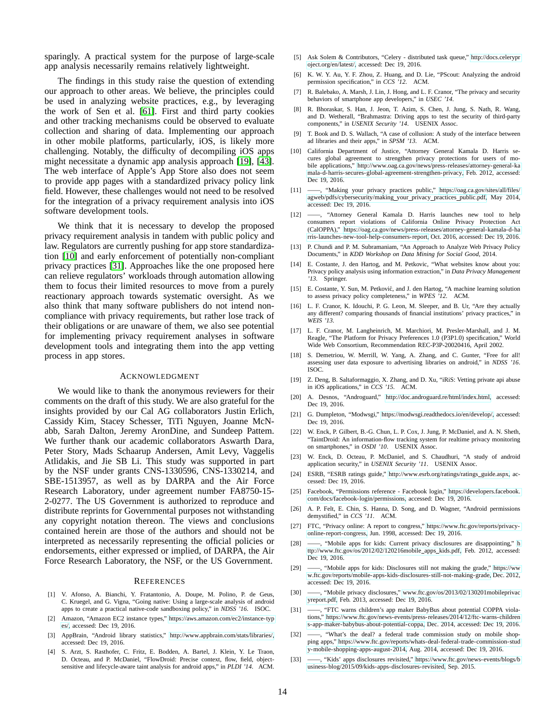sparingly. A practical system for the purpose of large-scale app analysis necessarily remains relatively lightweight.

The findings in this study raise the question of extending our approach to other areas. We believe, the principles could be used in analyzing website practices, e.g., by leveraging the work of Sen et al. [\[61\]](#page-14-39). First and third party cookies and other tracking mechanisms could be observed to evaluate collection and sharing of data. Implementing our approach in other mobile platforms, particularly, iOS, is likely more challenging. Notably, the difficulty of decompiling iOS apps might necessitate a dynamic app analysis approach [\[19\]](#page-13-31), [\[43\]](#page-14-40). The web interface of Apple's App Store also does not seem to provide app pages with a standardized privacy policy link field. However, these challenges would not need to be resolved for the integration of a privacy requirement analysis into iOS software development tools.

We think that it is necessary to develop the proposed privacy requirement analysis in tandem with public policy and law. Regulators are currently pushing for app store standardization [\[10\]](#page-13-22) and early enforcement of potentially non-compliant privacy practices [\[31\]](#page-13-32). Approaches like the one proposed here can relieve regulators' workloads through automation allowing them to focus their limited resources to move from a purely reactionary approach towards systematic oversight. As we also think that many software publishers do not intend noncompliance with privacy requirements, but rather lose track of their obligations or are unaware of them, we also see potential for implementing privacy requirement analyses in software development tools and integrating them into the app vetting process in app stores.

#### ACKNOWLEDGMENT

We would like to thank the anonymous reviewers for their comments on the draft of this study. We are also grateful for the insights provided by our Cal AG collaborators Justin Erlich, Cassidy Kim, Stacey Schesser, TiTi Nguyen, Joanne McNabb, Sarah Dalton, Jeremy AronDine, and Sundeep Pattem. We further thank our academic collaborators Aswarth Dara, Peter Story, Mads Schaarup Andersen, Amit Levy, Vaggelis Atlidakis, and Jie SB Li. This study was supported in part by the NSF under grants CNS-1330596, CNS-1330214, and SBE-1513957, as well as by DARPA and the Air Force Research Laboratory, under agreement number FA8750-15- 2-0277. The US Government is authorized to reproduce and distribute reprints for Governmental purposes not withstanding any copyright notation thereon. The views and conclusions contained herein are those of the authors and should not be interpreted as necessarily representing the official policies or endorsements, either expressed or implied, of DARPA, the Air Force Research Laboratory, the NSF, or the US Government.

#### **REFERENCES**

- <span id="page-13-17"></span>[1] V. Afonso, A. Bianchi, Y. Fratantonio, A. Doupe, M. Polino, P. de Geus, C. Kruegel, and G. Vigna, "Going native: Using a large-scale analysis of android apps to create a practical native-code sandboxing policy," in *NDSS '16*. ISOC.
- <span id="page-13-24"></span>[2] Amazon, "Amazon EC2 instance types," [https://aws.amazon.com/ec2/instance-typ](https://aws.amazon.com/ec2/instance-types/) [es/,](https://aws.amazon.com/ec2/instance-types/) accessed: Dec 19, 2016.
- <span id="page-13-25"></span>[3] AppBrain, "Android library statistics," [http://www.appbrain.com/stats/libraries/,](http://www.appbrain.com/stats/libraries/) accessed: Dec 19, 2016.
- <span id="page-13-15"></span>[4] S. Arzt, S. Rasthofer, C. Fritz, E. Bodden, A. Bartel, J. Klein, Y. Le Traon, D. Octeau, and P. McDaniel, "FlowDroid: Precise context, flow, field, objectsensitive and lifecycle-aware taint analysis for android apps," in *PLDI '14*. ACM.
- <span id="page-13-29"></span>[5] Ask Solem & Contributors, "Celery - distributed task queue," [http://docs.celerypr](http://docs.celeryproject.org/en/latest/) [oject.org/en/latest/,](http://docs.celeryproject.org/en/latest/) accessed: Dec 19, 2016.
- <span id="page-13-13"></span>K. W. Y. Au, Y. F. Zhou, Z. Huang, and D. Lie, "PScout: Analyzing the android permission specification," in *CCS '12*. ACM.
- <span id="page-13-0"></span>[7] R. Balebako, A. Marsh, J. Lin, J. Hong, and L. F. Cranor, "The privacy and security behaviors of smartphone app developers," in *USEC '14*.
- <span id="page-13-18"></span>[8] R. Bhoraskar, S. Han, J. Jeon, T. Azim, S. Chen, J. Jung, S. Nath, R. Wang, and D. Wetherall, "Brahmastra: Driving apps to test the security of third-party components," in *USENIX Security '14*. USENIX Assoc.
- <span id="page-13-26"></span>[9] T. Book and D. S. Wallach, "A case of collusion: A study of the interface between ad libraries and their apps," in *SPSM '13*. ACM.
- <span id="page-13-22"></span>[10] California Department of Justice, "Attorney General Kamala D. Harris secures global agreement to strengthen privacy protections for users of mobile applications," [http://www.oag.ca.gov/news/press-releases/attorney-general-ka](http://www.oag.ca.gov/news/press-releases/attorney-general-kamala-d-harris-secures-global-agreement-strengthen-privacy) [mala-d-harris-secures-global-agreement-strengthen-privacy,](http://www.oag.ca.gov/news/press-releases/attorney-general-kamala-d-harris-secures-global-agreement-strengthen-privacy) Feb. 2012, accessed: Dec 19, 2016.
- <span id="page-13-20"></span>[11] ——, "Making your privacy practices public," [https://oag.ca.gov/sites/all/files/](https://oag.ca.gov/sites/all/files/agweb/pdfs/cybersecurity/making_your_privacy_practices_public.pdf) [agweb/pdfs/cybersecurity/making](https://oag.ca.gov/sites/all/files/agweb/pdfs/cybersecurity/making_your_privacy_practices_public.pdf) your privacy practices public.pdf, May 2014, accessed: Dec 19, 2016.
- <span id="page-13-27"></span>[12] ——, "Attorney General Kamala D. Harris launches new tool to help consumers report violations of California Online Privacy Protection Act (CalOPPA)," [https://oag.ca.gov/news/press-releases/attorney-general-kamala-d-ha](https://oag.ca.gov/news/press-releases/attorney-general-kamala-d-harris-launches-new-tool-help-consumers-report) [rris-launches-new-tool-help-consumers-report,](https://oag.ca.gov/news/press-releases/attorney-general-kamala-d-harris-launches-new-tool-help-consumers-report) Oct. 2016, accessed: Dec 19, 2016.
- <span id="page-13-9"></span>[13] P. Chundi and P. M. Subramaniam, "An Approach to Analyze Web Privacy Policy Documents," in *KDD Workshop on Data Mining for Social Good*, 2014.
- <span id="page-13-8"></span>[14] E. Costante, J. den Hartog, and M. Petkovic, "What websites know about you: Privacy policy analysis using information extraction," in *Data Privacy Management '13*. Springer.
- <span id="page-13-7"></span>[15] E. Costante, Y. Sun, M. Petković, and J. den Hartog, "A machine learning solution to assess privacy policy completeness," in *WPES '12*. ACM.
- <span id="page-13-6"></span>[16] L. F. Cranor, K. Idouchi, P. G. Leon, M. Sleeper, and B. Ur, "Are they actually any different? comparing thousands of financial institutions' privacy practices," in *WEIS '13*.
- <span id="page-13-5"></span>[17] L. F. Cranor, M. Langheinrich, M. Marchiori, M. Presler-Marshall, and J. M. Reagle, "The Platform for Privacy Preferences 1.0 (P3P1.0) specification," World Wide Web Consortium, Recommendation REC-P3P-20020416, April 2002.
- <span id="page-13-11"></span>[18] S. Demetriou, W. Merrill, W. Yang, A. Zhang, and C. Gunter, "Free for all! assessing user data exposure to advertising libraries on android," in *NDSS '16*. ISOC.
- <span id="page-13-31"></span>[19] Z. Deng, B. Saltaformaggio, X. Zhang, and D. Xu, "iRiS: Vetting private api abuse in iOS applications," in *CCS '15*. ACM.
- <span id="page-13-12"></span>[20] A. Desnos, "Androguard," [http://doc.androguard.re/html/index.html,](http://doc.androguard.re/html/index.html) accessed: Dec 19, 2016.
- <span id="page-13-28"></span>[21] G. Dumpleton, "Modwsgi," [https://modwsgi.readthedocs.io/en/develop/,](https://modwsgi.readthedocs.io/en/develop/) accessed: Dec 19, 2016.
- <span id="page-13-10"></span>[22] W. Enck, P. Gilbert, B.-G. Chun, L. P. Cox, J. Jung, P. McDaniel, and A. N. Sheth, "TaintDroid: An information-flow tracking system for realtime privacy monitoring on smartphones," in *OSDI '10*. USENIX Assoc.
- <span id="page-13-16"></span>[23] W. Enck, D. Octeau, P. McDaniel, and S. Chaudhuri, "A study of android application security," in *USENIX Security '11*. USENIX Assoc.
- <span id="page-13-23"></span>[24] ESRB, "ESRB ratings guide," [http://www.esrb.org/ratings/ratings](http://www.esrb.org/ratings/ratings_guide.aspx)\_guide.aspx, accessed: Dec 19, 2016.
- <span id="page-13-30"></span>[25] Facebook, "Permissions reference - Facebook login," [https://developers.facebook.](https://developers.facebook.com/docs/facebook-login/permissions) [com/docs/facebook-login/permissions,](https://developers.facebook.com/docs/facebook-login/permissions) accessed: Dec 19, 2016.
- <span id="page-13-14"></span>[26] A. P. Felt, E. Chin, S. Hanna, D. Song, and D. Wagner, "Android permissions demystified," in *CCS '11*. ACM.
- <span id="page-13-19"></span>[27] FTC, "Privacy online: A report to congress," [https://www.ftc.gov/reports/privacy](https://www.ftc.gov/reports/privacy-online-report-congress)[online-report-congress,](https://www.ftc.gov/reports/privacy-online-report-congress) Jun. 1998, accessed: Dec 19, 2016.
- <span id="page-13-1"></span> $-$ , "Mobile apps for kids: Current privacy disclosures are disappointing," [h](http://www.ftc.gov/os/2012/02/120216mobile_apps_kids.pdf) [ttp://www.ftc.gov/os/2012/02/120216mobile](http://www.ftc.gov/os/2012/02/120216mobile_apps_kids.pdf) apps kids.pdf, Feb. 2012, accessed: Dec 19, 2016.
- <span id="page-13-2"></span>[29] ——, "Mobile apps for kids: Disclosures still not making the grade," [https://ww](https://www.ftc.gov/reports/mobile-apps-kids-disclosures-still-not-making-grade) [w.ftc.gov/reports/mobile-apps-kids-disclosures-still-not-making-grade,](https://www.ftc.gov/reports/mobile-apps-kids-disclosures-still-not-making-grade) Dec. 2012, accessed: Dec 19, 2016.
- <span id="page-13-21"></span>[30] ——, "Mobile privacy disclosures," [www.ftc.gov/os/2013/02/130201mobileprivac](www.ftc.gov/os/2013/02/130201mobileprivacyreport.pdf) [yreport.pdf,](www.ftc.gov/os/2013/02/130201mobileprivacyreport.pdf) Feb. 2013, accessed: Dec 19, 2016.
- <span id="page-13-32"></span>[31] -, "FTC warns children's app maker BabyBus about potential COPPA violations," [https://www.ftc.gov/news-events/press-releases/2014/12/ftc-warns-children](https://www.ftc.gov/news-events/press-releases/2014/12/ftc-warns-childrens-app-maker-babybus-about-potential-coppa) [s-app-maker-babybus-about-potential-coppa,](https://www.ftc.gov/news-events/press-releases/2014/12/ftc-warns-childrens-app-maker-babybus-about-potential-coppa) Dec. 2014, accessed: Dec 19, 2016.
- <span id="page-13-4"></span>[32] ——, "What's the deal? a federal trade commission study on mobile shopping apps," [https://www.ftc.gov/reports/whats-deal-federal-trade-commission-stud](https://www.ftc.gov/reports/whats-deal-federal-trade-commission-study-mobile-shopping-apps-august-2014) [y-mobile-shopping-apps-august-2014,](https://www.ftc.gov/reports/whats-deal-federal-trade-commission-study-mobile-shopping-apps-august-2014) Aug. 2014, accessed: Dec 19, 2016.
- <span id="page-13-3"></span>[33] ——, "Kids' apps disclosures revisited," [https://www.ftc.gov/news-events/blogs/b](https://www.ftc.gov/news-events/blogs/business-blog/2015/09/kids-apps-disclosures-revisited) [usiness-blog/2015/09/kids-apps-disclosures-revisited,](https://www.ftc.gov/news-events/blogs/business-blog/2015/09/kids-apps-disclosures-revisited) Sep. 2015.